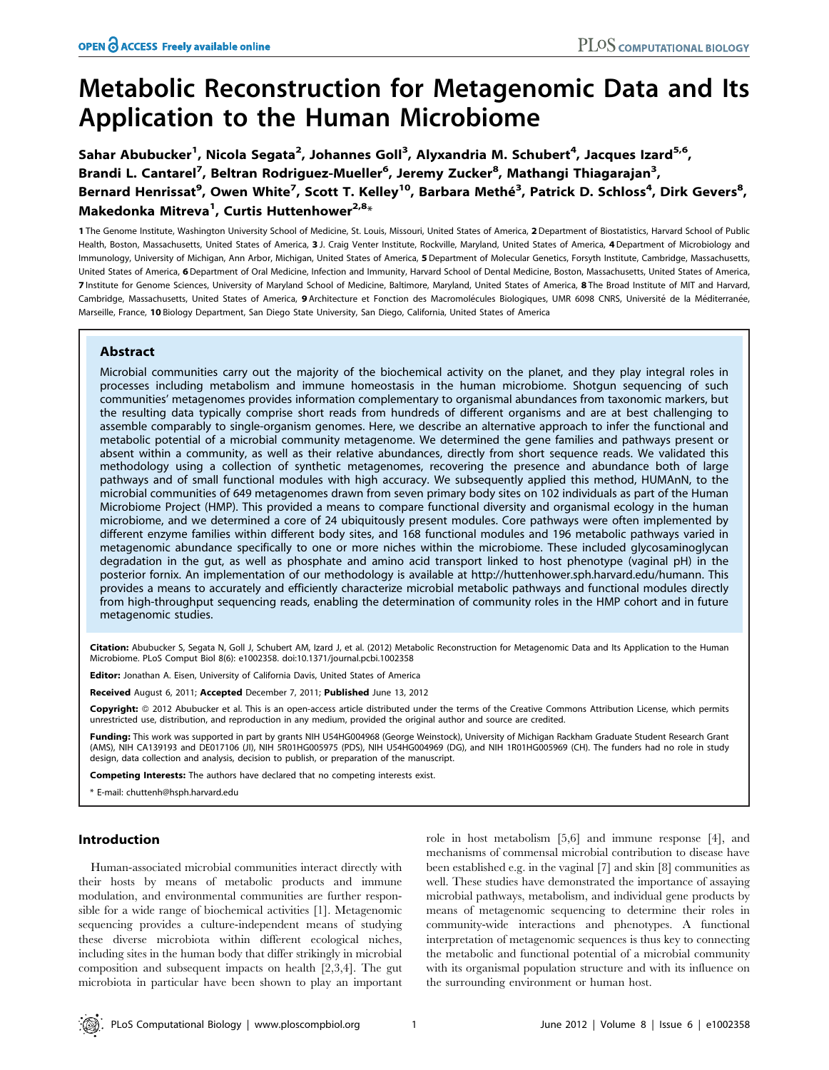# Metabolic Reconstruction for Metagenomic Data and Its Application to the Human Microbiome

Sahar Abubucker<sup>1</sup>, Nicola Segata<sup>2</sup>, Johannes Goll<sup>3</sup>, Alyxandria M. Schubert<sup>4</sup>, Jacques Izard<sup>5,6</sup>, Brandi L. Cantarel<sup>7</sup>, Beltran Rodriguez-Mueller<sup>6</sup>, Jeremy Zucker<sup>8</sup>, Mathangi Thiagarajan<sup>3</sup>, Bernard Henrissat<sup>9</sup>, Owen White<sup>7</sup>, Scott T. Kelley<sup>10</sup>, Barbara Methé<sup>3</sup>, Patrick D. Schloss<sup>4</sup>, Dirk Gevers<sup>8</sup>, Makedonka Mitreva<sup>1</sup>, Curtis Huttenhower<sup>2,8</sup>\*

1 The Genome Institute, Washington University School of Medicine, St. Louis, Missouri, United States of America, 2 Department of Biostatistics, Harvard School of Public Health, Boston, Massachusetts, United States of America, 3 J. Craig Venter Institute, Rockville, Maryland, United States of America, 4 Department of Microbiology and Immunology, University of Michigan, Ann Arbor, Michigan, United States of America, 5 Department of Molecular Genetics, Forsyth Institute, Cambridge, Massachusetts, United States of America, 6 Department of Oral Medicine, Infection and Immunity, Harvard School of Dental Medicine, Boston, Massachusetts, United States of America, 7 Institute for Genome Sciences, University of Maryland School of Medicine, Baltimore, Maryland, United States of America, 8 The Broad Institute of MIT and Harvard, Cambridge, Massachusetts, United States of America, 9 Architecture et Fonction des Macromolécules Biologiques, UMR 6098 CNRS, Université de la Méditerranée, Marseille, France, 10 Biology Department, San Diego State University, San Diego, California, United States of America

# Abstract

Microbial communities carry out the majority of the biochemical activity on the planet, and they play integral roles in processes including metabolism and immune homeostasis in the human microbiome. Shotgun sequencing of such communities' metagenomes provides information complementary to organismal abundances from taxonomic markers, but the resulting data typically comprise short reads from hundreds of different organisms and are at best challenging to assemble comparably to single-organism genomes. Here, we describe an alternative approach to infer the functional and metabolic potential of a microbial community metagenome. We determined the gene families and pathways present or absent within a community, as well as their relative abundances, directly from short sequence reads. We validated this methodology using a collection of synthetic metagenomes, recovering the presence and abundance both of large pathways and of small functional modules with high accuracy. We subsequently applied this method, HUMAnN, to the microbial communities of 649 metagenomes drawn from seven primary body sites on 102 individuals as part of the Human Microbiome Project (HMP). This provided a means to compare functional diversity and organismal ecology in the human microbiome, and we determined a core of 24 ubiquitously present modules. Core pathways were often implemented by different enzyme families within different body sites, and 168 functional modules and 196 metabolic pathways varied in metagenomic abundance specifically to one or more niches within the microbiome. These included glycosaminoglycan degradation in the gut, as well as phosphate and amino acid transport linked to host phenotype (vaginal pH) in the posterior fornix. An implementation of our methodology is available at http://huttenhower.sph.harvard.edu/humann. This provides a means to accurately and efficiently characterize microbial metabolic pathways and functional modules directly from high-throughput sequencing reads, enabling the determination of community roles in the HMP cohort and in future metagenomic studies.

Citation: Abubucker S, Segata N, Goll J, Schubert AM, Izard J, et al. (2012) Metabolic Reconstruction for Metagenomic Data and Its Application to the Human Microbiome. PLoS Comput Biol 8(6): e1002358. doi:10.1371/journal.pcbi.1002358

Editor: Jonathan A. Eisen, University of California Davis, United States of America

Received August 6, 2011; Accepted December 7, 2011; Published June 13, 2012

**Copyright:** © 2012 Abubucker et al. This is an open-access article distributed under the terms of the Creative Commons Attribution License, which permits unrestricted use, distribution, and reproduction in any medium, provided the original author and source are credited.

Funding: This work was supported in part by grants NIH U54HG004968 (George Weinstock), University of Michigan Rackham Graduate Student Research Grant (AMS), NIH CA139193 and DE017106 (JI), NIH 5R01HG005975 (PDS), NIH U54HG004969 (DG), and NIH 1R01HG005969 (CH). The funders had no role in study design, data collection and analysis, decision to publish, or preparation of the manuscript.

Competing Interests: The authors have declared that no competing interests exist.

\* E-mail: chuttenh@hsph.harvard.edu

## Introduction

Human-associated microbial communities interact directly with their hosts by means of metabolic products and immune modulation, and environmental communities are further responsible for a wide range of biochemical activities [1]. Metagenomic sequencing provides a culture-independent means of studying these diverse microbiota within different ecological niches, including sites in the human body that differ strikingly in microbial composition and subsequent impacts on health [2,3,4]. The gut microbiota in particular have been shown to play an important role in host metabolism [5,6] and immune response [4], and mechanisms of commensal microbial contribution to disease have been established e.g. in the vaginal [7] and skin [8] communities as well. These studies have demonstrated the importance of assaying microbial pathways, metabolism, and individual gene products by means of metagenomic sequencing to determine their roles in community-wide interactions and phenotypes. A functional interpretation of metagenomic sequences is thus key to connecting the metabolic and functional potential of a microbial community with its organismal population structure and with its influence on the surrounding environment or human host.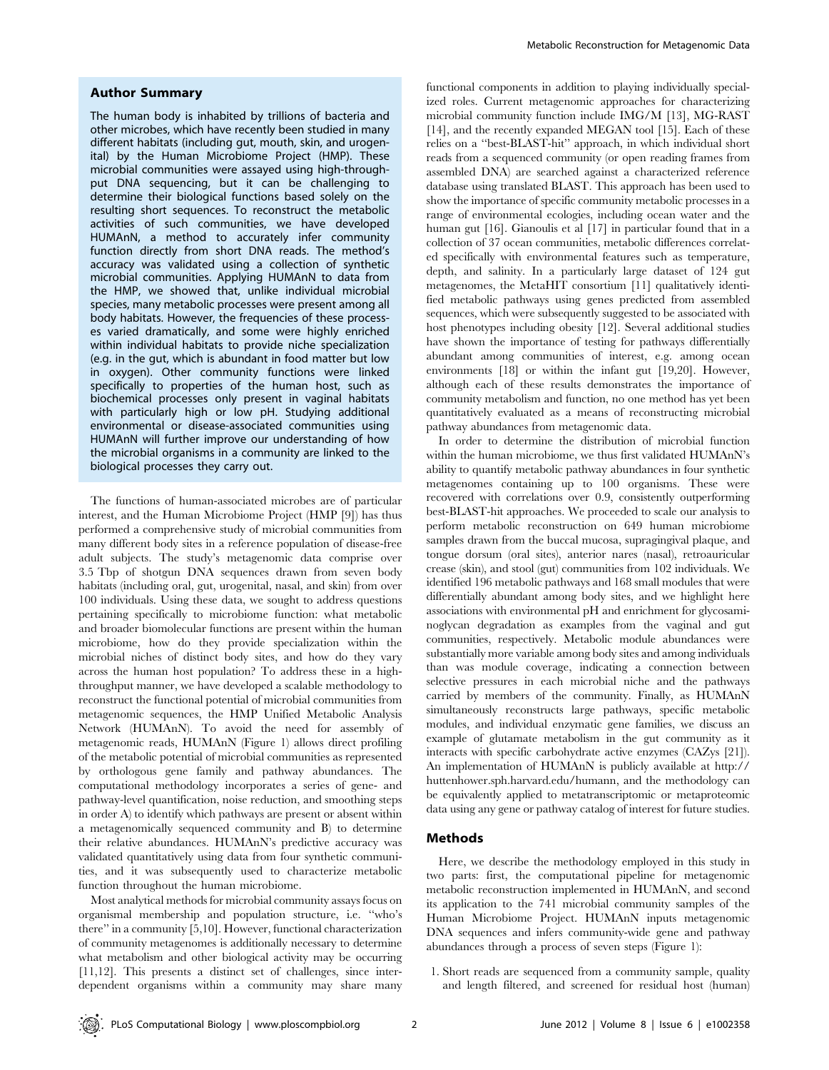#### Author Summary

The human body is inhabited by trillions of bacteria and other microbes, which have recently been studied in many different habitats (including gut, mouth, skin, and urogenital) by the Human Microbiome Project (HMP). These microbial communities were assayed using high-throughput DNA sequencing, but it can be challenging to determine their biological functions based solely on the resulting short sequences. To reconstruct the metabolic activities of such communities, we have developed HUMAnN, a method to accurately infer community function directly from short DNA reads. The method's accuracy was validated using a collection of synthetic microbial communities. Applying HUMAnN to data from the HMP, we showed that, unlike individual microbial species, many metabolic processes were present among all body habitats. However, the frequencies of these processes varied dramatically, and some were highly enriched within individual habitats to provide niche specialization (e.g. in the gut, which is abundant in food matter but low in oxygen). Other community functions were linked specifically to properties of the human host, such as biochemical processes only present in vaginal habitats with particularly high or low pH. Studying additional environmental or disease-associated communities using HUMAnN will further improve our understanding of how the microbial organisms in a community are linked to the biological processes they carry out.

The functions of human-associated microbes are of particular interest, and the Human Microbiome Project (HMP [9]) has thus performed a comprehensive study of microbial communities from many different body sites in a reference population of disease-free adult subjects. The study's metagenomic data comprise over 3.5 Tbp of shotgun DNA sequences drawn from seven body habitats (including oral, gut, urogenital, nasal, and skin) from over 100 individuals. Using these data, we sought to address questions pertaining specifically to microbiome function: what metabolic and broader biomolecular functions are present within the human microbiome, how do they provide specialization within the microbial niches of distinct body sites, and how do they vary across the human host population? To address these in a highthroughput manner, we have developed a scalable methodology to reconstruct the functional potential of microbial communities from metagenomic sequences, the HMP Unified Metabolic Analysis Network (HUMAnN). To avoid the need for assembly of metagenomic reads, HUMAnN (Figure 1) allows direct profiling of the metabolic potential of microbial communities as represented by orthologous gene family and pathway abundances. The computational methodology incorporates a series of gene- and pathway-level quantification, noise reduction, and smoothing steps in order A) to identify which pathways are present or absent within a metagenomically sequenced community and B) to determine their relative abundances. HUMAnN's predictive accuracy was validated quantitatively using data from four synthetic communities, and it was subsequently used to characterize metabolic function throughout the human microbiome.

Most analytical methods for microbial community assays focus on organismal membership and population structure, i.e. ''who's there'' in a community [5,10]. However, functional characterization of community metagenomes is additionally necessary to determine what metabolism and other biological activity may be occurring [11,12]. This presents a distinct set of challenges, since interdependent organisms within a community may share many

functional components in addition to playing individually specialized roles. Current metagenomic approaches for characterizing microbial community function include IMG/M [13], MG-RAST [14], and the recently expanded MEGAN tool [15]. Each of these relies on a ''best-BLAST-hit'' approach, in which individual short reads from a sequenced community (or open reading frames from assembled DNA) are searched against a characterized reference database using translated BLAST. This approach has been used to show the importance of specific community metabolic processes in a range of environmental ecologies, including ocean water and the human gut [16]. Gianoulis et al [17] in particular found that in a collection of 37 ocean communities, metabolic differences correlated specifically with environmental features such as temperature, depth, and salinity. In a particularly large dataset of 124 gut metagenomes, the MetaHIT consortium [11] qualitatively identified metabolic pathways using genes predicted from assembled sequences, which were subsequently suggested to be associated with host phenotypes including obesity [12]. Several additional studies have shown the importance of testing for pathways differentially abundant among communities of interest, e.g. among ocean environments [18] or within the infant gut [19,20]. However, although each of these results demonstrates the importance of community metabolism and function, no one method has yet been quantitatively evaluated as a means of reconstructing microbial pathway abundances from metagenomic data.

In order to determine the distribution of microbial function within the human microbiome, we thus first validated HUMAnN's ability to quantify metabolic pathway abundances in four synthetic metagenomes containing up to 100 organisms. These were recovered with correlations over 0.9, consistently outperforming best-BLAST-hit approaches. We proceeded to scale our analysis to perform metabolic reconstruction on 649 human microbiome samples drawn from the buccal mucosa, supragingival plaque, and tongue dorsum (oral sites), anterior nares (nasal), retroauricular crease (skin), and stool (gut) communities from 102 individuals. We identified 196 metabolic pathways and 168 small modules that were differentially abundant among body sites, and we highlight here associations with environmental pH and enrichment for glycosaminoglycan degradation as examples from the vaginal and gut communities, respectively. Metabolic module abundances were substantially more variable among body sites and among individuals than was module coverage, indicating a connection between selective pressures in each microbial niche and the pathways carried by members of the community. Finally, as HUMAnN simultaneously reconstructs large pathways, specific metabolic modules, and individual enzymatic gene families, we discuss an example of glutamate metabolism in the gut community as it interacts with specific carbohydrate active enzymes (CAZys [21]). An implementation of HUMAnN is publicly available at http:// huttenhower.sph.harvard.edu/humann, and the methodology can be equivalently applied to metatranscriptomic or metaproteomic data using any gene or pathway catalog of interest for future studies.

### Methods

Here, we describe the methodology employed in this study in two parts: first, the computational pipeline for metagenomic metabolic reconstruction implemented in HUMAnN, and second its application to the 741 microbial community samples of the Human Microbiome Project. HUMAnN inputs metagenomic DNA sequences and infers community-wide gene and pathway abundances through a process of seven steps (Figure 1):

1. Short reads are sequenced from a community sample, quality and length filtered, and screened for residual host (human)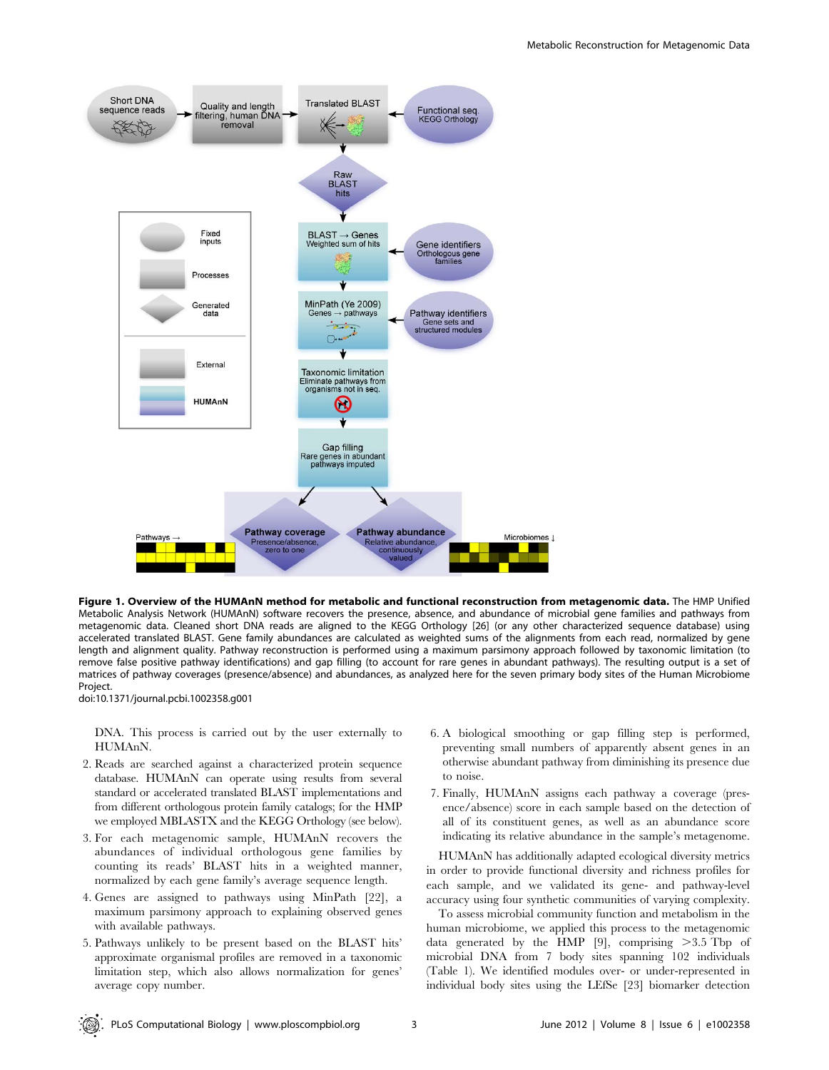

Figure 1. Overview of the HUMAnN method for metabolic and functional reconstruction from metagenomic data. The HMP Unified Metabolic Analysis Network (HUMAnN) software recovers the presence, absence, and abundance of microbial gene families and pathways from metagenomic data. Cleaned short DNA reads are aligned to the KEGG Orthology [26] (or any other characterized sequence database) using accelerated translated BLAST. Gene family abundances are calculated as weighted sums of the alignments from each read, normalized by gene length and alignment quality. Pathway reconstruction is performed using a maximum parsimony approach followed by taxonomic limitation (to remove false positive pathway identifications) and gap filling (to account for rare genes in abundant pathways). The resulting output is a set of matrices of pathway coverages (presence/absence) and abundances, as analyzed here for the seven primary body sites of the Human Microbiome **Project** 

doi:10.1371/journal.pcbi.1002358.g001

DNA. This process is carried out by the user externally to HUMAnN.

- 2. Reads are searched against a characterized protein sequence database. HUMAnN can operate using results from several standard or accelerated translated BLAST implementations and from different orthologous protein family catalogs; for the HMP we employed MBLASTX and the KEGG Orthology (see below).
- 3. For each metagenomic sample, HUMAnN recovers the abundances of individual orthologous gene families by counting its reads' BLAST hits in a weighted manner, normalized by each gene family's average sequence length.
- 4. Genes are assigned to pathways using MinPath [22], a maximum parsimony approach to explaining observed genes with available pathways.
- 5. Pathways unlikely to be present based on the BLAST hits' approximate organismal profiles are removed in a taxonomic limitation step, which also allows normalization for genes' average copy number.
- 6. A biological smoothing or gap filling step is performed, preventing small numbers of apparently absent genes in an otherwise abundant pathway from diminishing its presence due to noise.
- 7. Finally, HUMAnN assigns each pathway a coverage (presence/absence) score in each sample based on the detection of all of its constituent genes, as well as an abundance score indicating its relative abundance in the sample's metagenome.

HUMAnN has additionally adapted ecological diversity metrics in order to provide functional diversity and richness profiles for each sample, and we validated its gene- and pathway-level accuracy using four synthetic communities of varying complexity.

To assess microbial community function and metabolism in the human microbiome, we applied this process to the metagenomic data generated by the HMP [9], comprising  $>3.5$  Tbp of microbial DNA from 7 body sites spanning 102 individuals (Table 1). We identified modules over- or under-represented in individual body sites using the LEfSe [23] biomarker detection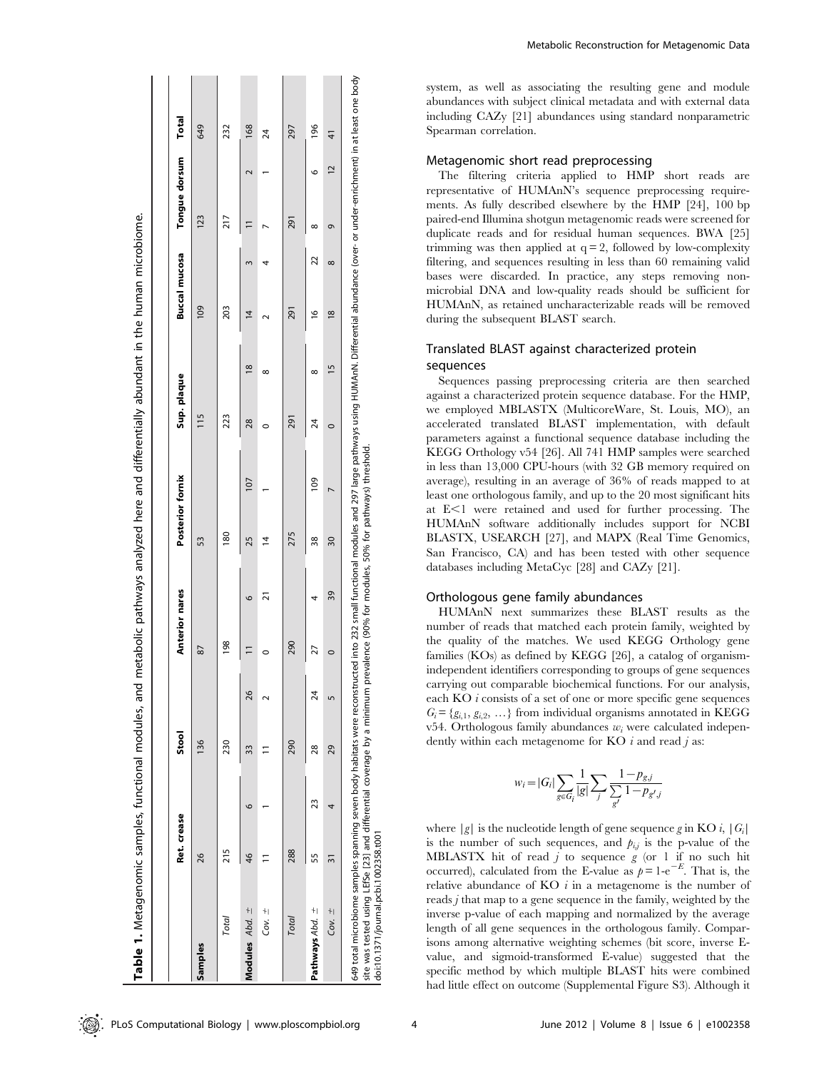|                                                                                                                                                                                             | Ret. crease   |    | Stool |    | <b>Anterior nares</b> |    |                 | Posterior fornix                                          | Sup. plaque |               | <b>Buccal mucosa</b> |          | Tongue dorsum                                                                                                                                        | Total         |
|---------------------------------------------------------------------------------------------------------------------------------------------------------------------------------------------|---------------|----|-------|----|-----------------------|----|-----------------|-----------------------------------------------------------|-------------|---------------|----------------------|----------|------------------------------------------------------------------------------------------------------------------------------------------------------|---------------|
| Samples                                                                                                                                                                                     | 26            |    | 136   |    | 87                    |    | 53              |                                                           | 115         |               | $\frac{109}{2}$      |          | 123                                                                                                                                                  | 649           |
| Total                                                                                                                                                                                       | 215           |    | 230   |    | <b>98</b>             |    | 180             |                                                           | 223         |               | 203                  |          | 217                                                                                                                                                  | 232           |
| Modules Abd. =                                                                                                                                                                              | $\frac{4}{6}$ | G  | 33    | 26 |                       | 6  | 25              | 107                                                       | 28          | $\frac{8}{2}$ | $\overline{4}$       |          |                                                                                                                                                      | 168           |
| Cov. $\pm$                                                                                                                                                                                  |               |    |       |    |                       | ಸ  | 4               |                                                           |             | ∞             |                      |          |                                                                                                                                                      | 24            |
| Total                                                                                                                                                                                       | 288           |    | 290   |    | 290                   |    | 275             |                                                           | 291         |               | 791                  |          | <b>D91</b>                                                                                                                                           | 297           |
| Pathways Abd. ±                                                                                                                                                                             | 55            | 23 | 28    | 24 | 27                    | 4  | 38              | <b>PO1</b>                                                | 24          | $^{\circ}$    | ڢ                    | 22       | o<br>$^{\circ}$                                                                                                                                      | 196           |
| Cov. $\pm$                                                                                                                                                                                  | 31            |    | 29    | 5  | 0                     | 39 | $\overline{30}$ |                                                           | O           | 15            | $\frac{8}{2}$        | $\infty$ | $\overline{c}$<br>Ō                                                                                                                                  | $\frac{4}{1}$ |
| 649 total microbiome samples spanning seven body habitats were reconstr<br>site was tested using LEfSe [23] and differential coverage by a minimum<br>doi:10.1371/journal.pcbi.1002358.t001 |               |    |       |    |                       |    |                 | prevalence (90% for modules, 50% for pathways) threshold. |             |               |                      |          | ucted into 232 small functional modules and 297 large pathways using HUMAnN. Differential abundance (over- or under-enrichment) in at least one body |               |

Metabolic Reconstruction for Metagenomic Data

system, as well as associating the resulting gene and module abundances with subject clinical metadata and with external data including CAZy [21] abundances using standard nonparametric Spearman correlation.

# Metagenomic short read preprocessing

The filtering criteria applied to HMP short reads are representative of HUMAnN's sequence preprocessing requirements. As fully described elsewhere by the HMP [24], 100 bp paired-end Illumina shotgun metagenomic reads were screened for duplicate reads and for residual human sequences. BWA [25] trimming was then applied at  $q = 2$ , followed by low-complexity filtering, and sequences resulting in less than 60 remaining valid bases were discarded. In practice, any steps removing nonmicrobial DNA and low-quality reads should be sufficient for HUMAnN, as retained uncharacterizable reads will be removed during the subsequent BLAST search.

# Translated BLAST against characterized protein sequences

Sequences passing preprocessing criteria are then searched against a characterized protein sequence database. For the HMP, we employed MBLASTX (MulticoreWare, St. Louis, MO), an accelerated translated BLAST implementation, with default parameters against a functional sequence database including the KEGG Orthology v54 [26]. All 741 HMP samples were searched in less than 13,000 CPU-hours (with 32 GB memory required on average), resulting in an average of 36% of reads mapped to at least one orthologous family, and up to the 20 most significant hits at  $E<1$  were retained and used for further processing. The HUMAnN software additionally includes support for NCBI BLASTX, USEARCH [27], and MAPX (Real Time Genomics, San Francisco, CA) and has been tested with other sequence databases including MetaCyc [28] and CAZy [21].

#### Orthologous gene family abundances

HUMAnN next summarizes these BLAST results as the number of reads that matched each protein family, weighted by the quality of the matches. We used KEGG Orthology gene families (KOs) as defined by KEGG [26], a catalog of organismindependent identifiers corresponding to groups of gene sequences carrying out comparable biochemical functions. For our analysis, each KO i consists of a set of one or more specific gene sequences  $G_i = \{g_{i,1}, g_{i,2}, \ldots\}$  from individual organisms annotated in KEGG v54. Orthologous family abundances  $w_i$  were calculated independently within each metagenome for  $KO$  *i* and read *j* as:

$$
w_i = |G_i| \sum_{g \in G_i} \frac{1}{|g|} \sum_j \frac{1 - p_{g,j}}{\sum_{g'} 1 - p_{g',j}}
$$

where  $|g|$  is the nucleotide length of gene sequence g in KO i,  $|G_i|$ is the number of such sequences, and  $p_{i,j}$  is the p-value of the MBLASTX hit of read  $j$  to sequence  $g$  (or 1 if no such hit occurred), calculated from the E-value as  $p=1-e^{-E}$ . That is, the relative abundance of  $KO$  i in a metagenome is the number of reads  $j$  that map to a gene sequence in the family, weighted by the inverse p-value of each mapping and normalized by the average length of all gene sequences in the orthologous family. Comparisons among alternative weighting schemes (bit score, inverse Evalue, and sigmoid-transformed E-value) suggested that the specific method by which multiple BLAST hits were combined had little effect on outcome (Supplemental Figure S3). Although it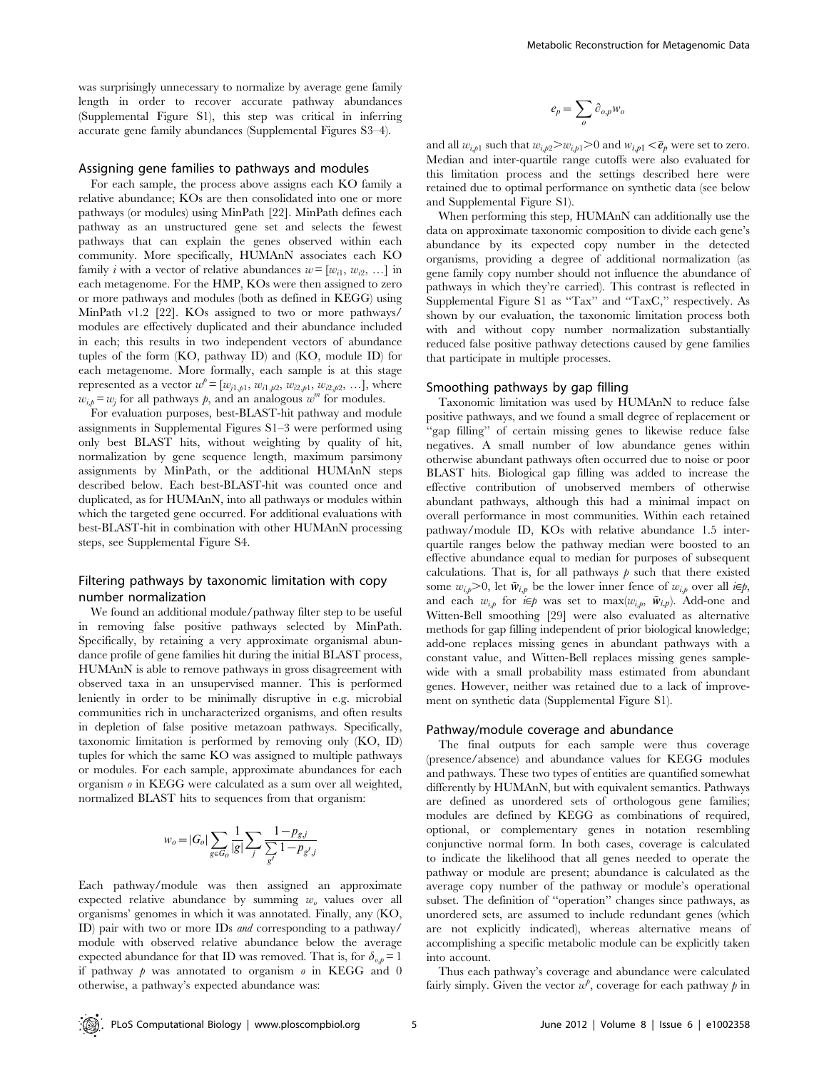was surprisingly unnecessary to normalize by average gene family length in order to recover accurate pathway abundances (Supplemental Figure S1), this step was critical in inferring accurate gene family abundances (Supplemental Figures S3–4).

#### Assigning gene families to pathways and modules

For each sample, the process above assigns each KO family a relative abundance; KOs are then consolidated into one or more pathways (or modules) using MinPath [22]. MinPath defines each pathway as an unstructured gene set and selects the fewest pathways that can explain the genes observed within each community. More specifically, HUMAnN associates each KO family *i* with a vector of relative abundances  $w = [w_{i1}, w_{i2}, \dots]$  in each metagenome. For the HMP, KOs were then assigned to zero or more pathways and modules (both as defined in KEGG) using MinPath v1.2 [22]. KOs assigned to two or more pathways/ modules are effectively duplicated and their abundance included in each; this results in two independent vectors of abundance tuples of the form (KO, pathway ID) and (KO, module ID) for each metagenome. More formally, each sample is at this stage represented as a vector  $w^b = [w_{j1,p1}, w_{i1,p2}, w_{i2,p1}, w_{i2,p2}, ...]$ , where  $w_{i,p} = w_j$  for all pathways  $p$ , and an analogous  $w^m$  for modules.

For evaluation purposes, best-BLAST-hit pathway and module assignments in Supplemental Figures S1–3 were performed using only best BLAST hits, without weighting by quality of hit, normalization by gene sequence length, maximum parsimony assignments by MinPath, or the additional HUMAnN steps described below. Each best-BLAST-hit was counted once and duplicated, as for HUMAnN, into all pathways or modules within which the targeted gene occurred. For additional evaluations with best-BLAST-hit in combination with other HUMAnN processing steps, see Supplemental Figure S4.

# Filtering pathways by taxonomic limitation with copy number normalization

We found an additional module/pathway filter step to be useful in removing false positive pathways selected by MinPath. Specifically, by retaining a very approximate organismal abundance profile of gene families hit during the initial BLAST process, HUMAnN is able to remove pathways in gross disagreement with observed taxa in an unsupervised manner. This is performed leniently in order to be minimally disruptive in e.g. microbial communities rich in uncharacterized organisms, and often results in depletion of false positive metazoan pathways. Specifically, taxonomic limitation is performed by removing only (KO, ID) tuples for which the same KO was assigned to multiple pathways or modules. For each sample, approximate abundances for each organism o in KEGG were calculated as a sum over all weighted, normalized BLAST hits to sequences from that organism:

$$
w_o = |G_o|\sum_{g\in G_o}\frac{1}{|g|}\sum_j\frac{1-p_{g,j}}{\sum\limits_{g'}1-p_{g',j}}
$$

Each pathway/module was then assigned an approximate expected relative abundance by summing  $w<sub>o</sub>$  values over all organisms' genomes in which it was annotated. Finally, any (KO, ID) pair with two or more IDs and corresponding to a pathway/ module with observed relative abundance below the average expected abundance for that ID was removed. That is, for  $\delta_{o,b}=1$ if pathway  $\beta$  was annotated to organism  $\alpha$  in KEGG and 0 otherwise, a pathway's expected abundance was:

$$
e_p = \sum_o \partial_{o,p} w_o
$$

and all  $w_{i,p1}$  such that  $w_{i,p2} > w_{i,p1} > 0$  and  $w_{i,p1} < \bar{e}_p$  were set to zero. Median and inter-quartile range cutoffs were also evaluated for this limitation process and the settings described here were retained due to optimal performance on synthetic data (see below and Supplemental Figure S1).

When performing this step, HUMAnN can additionally use the data on approximate taxonomic composition to divide each gene's abundance by its expected copy number in the detected organisms, providing a degree of additional normalization (as gene family copy number should not influence the abundance of pathways in which they're carried). This contrast is reflected in Supplemental Figure S1 as ''Tax'' and ''TaxC,'' respectively. As shown by our evaluation, the taxonomic limitation process both with and without copy number normalization substantially reduced false positive pathway detections caused by gene families that participate in multiple processes.

#### Smoothing pathways by gap filling

Taxonomic limitation was used by HUMAnN to reduce false positive pathways, and we found a small degree of replacement or "gap filling" of certain missing genes to likewise reduce false negatives. A small number of low abundance genes within otherwise abundant pathways often occurred due to noise or poor BLAST hits. Biological gap filling was added to increase the effective contribution of unobserved members of otherwise abundant pathways, although this had a minimal impact on overall performance in most communities. Within each retained pathway/module ID, KOs with relative abundance 1.5 interquartile ranges below the pathway median were boosted to an effective abundance equal to median for purposes of subsequent calculations. That is, for all pathways  $\beta$  such that there existed some  $w_{i,p}$ >0, let  $\tilde{w}_{i,p}$  be the lower inner fence of  $w_{i,p}$  over all  $i \in p$ , and each  $w_{i,p}$  for  $i \in p$  was set to max $(w_{i,p}, \tilde{w}_{i,p})$ . Add-one and Witten-Bell smoothing [29] were also evaluated as alternative methods for gap filling independent of prior biological knowledge; add-one replaces missing genes in abundant pathways with a constant value, and Witten-Bell replaces missing genes samplewide with a small probability mass estimated from abundant genes. However, neither was retained due to a lack of improvement on synthetic data (Supplemental Figure S1).

#### Pathway/module coverage and abundance

The final outputs for each sample were thus coverage (presence/absence) and abundance values for KEGG modules and pathways. These two types of entities are quantified somewhat differently by HUMAnN, but with equivalent semantics. Pathways are defined as unordered sets of orthologous gene families; modules are defined by KEGG as combinations of required, optional, or complementary genes in notation resembling conjunctive normal form. In both cases, coverage is calculated to indicate the likelihood that all genes needed to operate the pathway or module are present; abundance is calculated as the average copy number of the pathway or module's operational subset. The definition of ''operation'' changes since pathways, as unordered sets, are assumed to include redundant genes (which are not explicitly indicated), whereas alternative means of accomplishing a specific metabolic module can be explicitly taken into account.

Thus each pathway's coverage and abundance were calculated fairly simply. Given the vector  $w^{\rho}$ , coverage for each pathway  $\rho$  in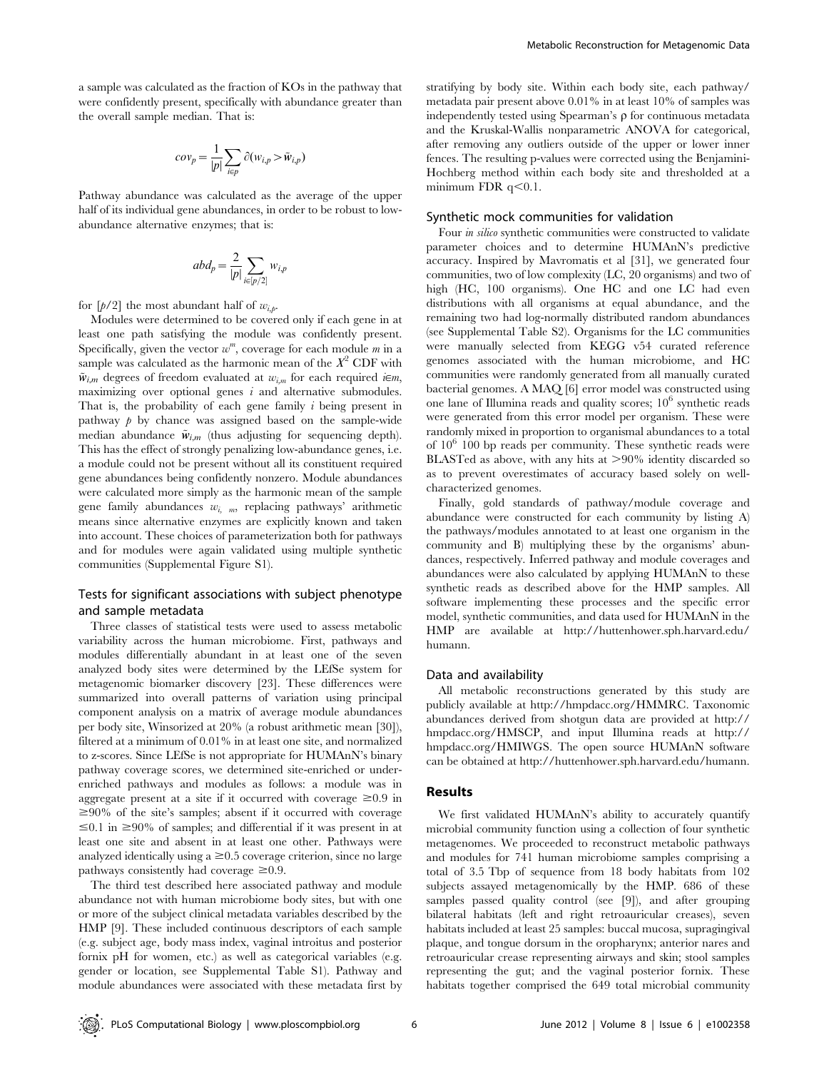a sample was calculated as the fraction of KOs in the pathway that were confidently present, specifically with abundance greater than the overall sample median. That is:

$$
cov_p = \frac{1}{|p|} \sum_{i \in p} \partial(w_{i,p} > \tilde{w}_{i,p})
$$

Pathway abundance was calculated as the average of the upper half of its individual gene abundances, in order to be robust to lowabundance alternative enzymes; that is:

$$
abd_p = \frac{2}{|p|} \sum_{i \in [p/2]} w_{i,p}
$$

for  $\lceil p/2 \rceil$  the most abundant half of  $w_{i,b}$ .

Modules were determined to be covered only if each gene in at least one path satisfying the module was confidently present. Specifically, given the vector  $w^m$ , coverage for each module  $m$  in a sample was calculated as the harmonic mean of the  $X^2$  CDF with  $\tilde{w}_{i,m}$  degrees of freedom evaluated at  $w_{i,m}$  for each required i $\infty$ , maximizing over optional genes  $i$  and alternative submodules. That is, the probability of each gene family i being present in pathway  $\hat{p}$  by chance was assigned based on the sample-wide median abundance  $\tilde{w}_{i,m}$  (thus adjusting for sequencing depth). This has the effect of strongly penalizing low-abundance genes, i.e. a module could not be present without all its constituent required gene abundances being confidently nonzero. Module abundances were calculated more simply as the harmonic mean of the sample gene family abundances  $w_{i, m}$ , replacing pathways' arithmetic means since alternative enzymes are explicitly known and taken into account. These choices of parameterization both for pathways and for modules were again validated using multiple synthetic communities (Supplemental Figure S1).

# Tests for significant associations with subject phenotype and sample metadata

Three classes of statistical tests were used to assess metabolic variability across the human microbiome. First, pathways and modules differentially abundant in at least one of the seven analyzed body sites were determined by the LEfSe system for metagenomic biomarker discovery [23]. These differences were summarized into overall patterns of variation using principal component analysis on a matrix of average module abundances per body site, Winsorized at 20% (a robust arithmetic mean [30]), filtered at a minimum of 0.01% in at least one site, and normalized to z-scores. Since LEfSe is not appropriate for HUMAnN's binary pathway coverage scores, we determined site-enriched or underenriched pathways and modules as follows: a module was in aggregate present at a site if it occurred with coverage  $\geq 0.9$  in  $\geq$ 90% of the site's samples; absent if it occurred with coverage  $\leq 0.1$  in  $\geq 90\%$  of samples; and differential if it was present in at least one site and absent in at least one other. Pathways were analyzed identically using  $a \ge 0.5$  coverage criterion, since no large pathways consistently had coverage  $\geq 0.9$ .

The third test described here associated pathway and module abundance not with human microbiome body sites, but with one or more of the subject clinical metadata variables described by the HMP [9]. These included continuous descriptors of each sample (e.g. subject age, body mass index, vaginal introitus and posterior fornix pH for women, etc.) as well as categorical variables (e.g. gender or location, see Supplemental Table S1). Pathway and module abundances were associated with these metadata first by

stratifying by body site. Within each body site, each pathway/ metadata pair present above 0.01% in at least 10% of samples was independently tested using Spearman's  $\rho$  for continuous metadata and the Kruskal-Wallis nonparametric ANOVA for categorical, after removing any outliers outside of the upper or lower inner fences. The resulting p-values were corrected using the Benjamini-Hochberg method within each body site and thresholded at a minimum FDR  $q<0.1$ .

#### Synthetic mock communities for validation

Four in silico synthetic communities were constructed to validate parameter choices and to determine HUMAnN's predictive accuracy. Inspired by Mavromatis et al [31], we generated four communities, two of low complexity (LC, 20 organisms) and two of high (HC, 100 organisms). One HC and one LC had even distributions with all organisms at equal abundance, and the remaining two had log-normally distributed random abundances (see Supplemental Table S2). Organisms for the LC communities were manually selected from KEGG v54 curated reference genomes associated with the human microbiome, and HC communities were randomly generated from all manually curated bacterial genomes. A MAQ [6] error model was constructed using one lane of Illumina reads and quality scores;  $10^6$  synthetic reads were generated from this error model per organism. These were randomly mixed in proportion to organismal abundances to a total of  $10^6$  100 bp reads per community. These synthetic reads were BLASTed as above, with any hits at  $>90\%$  identity discarded so as to prevent overestimates of accuracy based solely on wellcharacterized genomes.

Finally, gold standards of pathway/module coverage and abundance were constructed for each community by listing A) the pathways/modules annotated to at least one organism in the community and B) multiplying these by the organisms' abundances, respectively. Inferred pathway and module coverages and abundances were also calculated by applying HUMAnN to these synthetic reads as described above for the HMP samples. All software implementing these processes and the specific error model, synthetic communities, and data used for HUMAnN in the HMP are available at http://huttenhower.sph.harvard.edu/ humann.

#### Data and availability

All metabolic reconstructions generated by this study are publicly available at http://hmpdacc.org/HMMRC. Taxonomic abundances derived from shotgun data are provided at http:// hmpdacc.org/HMSCP, and input Illumina reads at http:// hmpdacc.org/HMIWGS. The open source HUMAnN software can be obtained at http://huttenhower.sph.harvard.edu/humann.

## Results

We first validated HUMAnN's ability to accurately quantify microbial community function using a collection of four synthetic metagenomes. We proceeded to reconstruct metabolic pathways and modules for 741 human microbiome samples comprising a total of 3.5 Tbp of sequence from 18 body habitats from 102 subjects assayed metagenomically by the HMP. 686 of these samples passed quality control (see [9]), and after grouping bilateral habitats (left and right retroauricular creases), seven habitats included at least 25 samples: buccal mucosa, supragingival plaque, and tongue dorsum in the oropharynx; anterior nares and retroauricular crease representing airways and skin; stool samples representing the gut; and the vaginal posterior fornix. These habitats together comprised the 649 total microbial community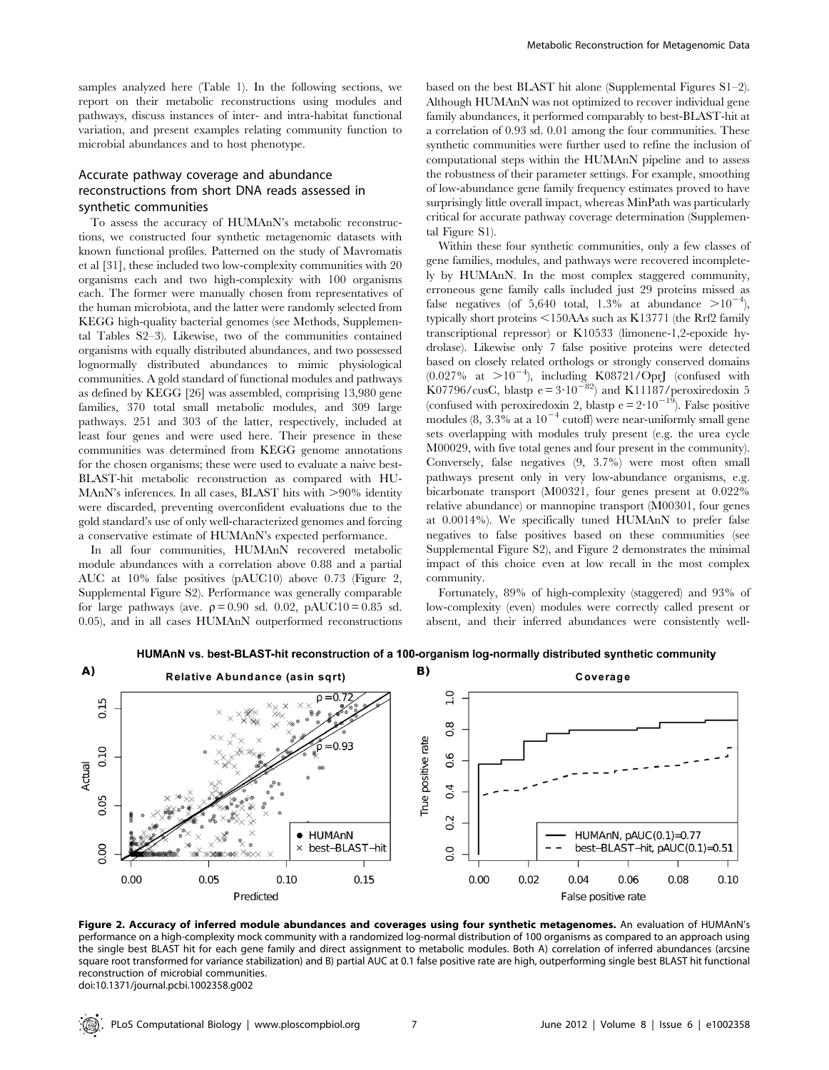samples analyzed here (Table 1). In the following sections, we report on their metabolic reconstructions using modules and pathways, discuss instances of inter- and intra-habitat functional variation, and present examples relating community function to microbial abundances and to host phenotype.

# Accurate pathway coverage and abundance reconstructions from short DNA reads assessed in synthetic communities

To assess the accuracy of HUMAnN's metabolic reconstructions, we constructed four synthetic metagenomic datasets with known functional profiles. Patterned on the study of Mavromatis et al [31], these included two low-complexity communities with 20 organisms each and two high-complexity with 100 organisms each. The former were manually chosen from representatives of the human microbiota, and the latter were randomly selected from KEGG high-quality bacterial genomes (see Methods, Supplemental Tables S2–3). Likewise, two of the communities contained organisms with equally distributed abundances, and two possessed lognormally distributed abundances to mimic physiological communities. A gold standard of functional modules and pathways as defined by KEGG [26] was assembled, comprising 13,980 gene families, 370 total small metabolic modules, and 309 large pathways. 251 and 303 of the latter, respectively, included at least four genes and were used here. Their presence in these communities was determined from KEGG genome annotations for the chosen organisms; these were used to evaluate a naive best-BLAST-hit metabolic reconstruction as compared with HU-MAnN's inferences. In all cases, BLAST hits with  $>90\%$  identity were discarded, preventing overconfident evaluations due to the gold standard's use of only well-characterized genomes and forcing a conservative estimate of HUMAnN's expected performance.

In all four communities, HUMAnN recovered metabolic module abundances with a correlation above 0.88 and a partial AUC at 10% false positives (pAUC10) above 0.73 (Figure 2, Supplemental Figure S2). Performance was generally comparable for large pathways (ave.  $\rho = 0.90$  sd. 0.02, pAUC10 = 0.85 sd. 0.05), and in all cases HUMAnN outperformed reconstructions

based on the best BLAST hit alone (Supplemental Figures S1–2). Although HUMAnN was not optimized to recover individual gene family abundances, it performed comparably to best-BLAST-hit at a correlation of 0.93 sd. 0.01 among the four communities. These synthetic communities were further used to refine the inclusion of computational steps within the HUMAnN pipeline and to assess the robustness of their parameter settings. For example, smoothing of low-abundance gene family frequency estimates proved to have surprisingly little overall impact, whereas MinPath was particularly critical for accurate pathway coverage determination (Supplemental Figure S1).

Within these four synthetic communities, only a few classes of gene families, modules, and pathways were recovered incompletely by HUMAnN. In the most complex staggered community, erroneous gene family calls included just 29 proteins missed as false negatives (of 5,640 total, 1.3% at abundance  $>10^{-4}$ ), typically short proteins <150AAs such as K13771 (the Rrf2 family transcriptional repressor) or K10533 (limonene-1,2-epoxide hydrolase). Likewise only 7 false positive proteins were detected based on closely related orthologs or strongly conserved domains  $(0.027\% \text{ at } > 10^{-4}), \text{ including } K08721/OprJ (confused with$ K07796/cusC, blastp  $e = 3 \cdot 10^{-82}$  and K11187/peroxiredoxin 5 (confused with peroxiredoxin 2, blastp  $e = 2 \cdot 10^{-19}$ ). False positive modules  $(8, 3.3\%$  at a  $10^{-4}$  cutoff) were near-uniformly small gene sets overlapping with modules truly present (e.g. the urea cycle M00029, with five total genes and four present in the community). Conversely, false negatives (9, 3.7%) were most often small pathways present only in very low-abundance organisms, e.g. bicarbonate transport (M00321, four genes present at 0.022% relative abundance) or mannopine transport (M00301, four genes at 0.0014%). We specifically tuned HUMAnN to prefer false negatives to false positives based on these communities (see Supplemental Figure S2), and Figure 2 demonstrates the minimal impact of this choice even at low recall in the most complex community.

Fortunately, 89% of high-complexity (staggered) and 93% of low-complexity (even) modules were correctly called present or absent, and their inferred abundances were consistently well-



HUMAnN vs. best-BLAST-hit reconstruction of a 100-organism log-normally distributed synthetic community

Figure 2. Accuracy of inferred module abundances and coverages using four synthetic metagenomes. An evaluation of HUMAnN's performance on a high-complexity mock community with a randomized log-normal distribution of 100 organisms as compared to an approach using the single best BLAST hit for each gene family and direct assignment to metabolic modules. Both A) correlation of inferred abundances (arcsine square root transformed for variance stabilization) and B) partial AUC at 0.1 false positive rate are high, outperforming single best BLAST hit functional reconstruction of microbial communities. doi:10.1371/journal.pcbi.1002358.g002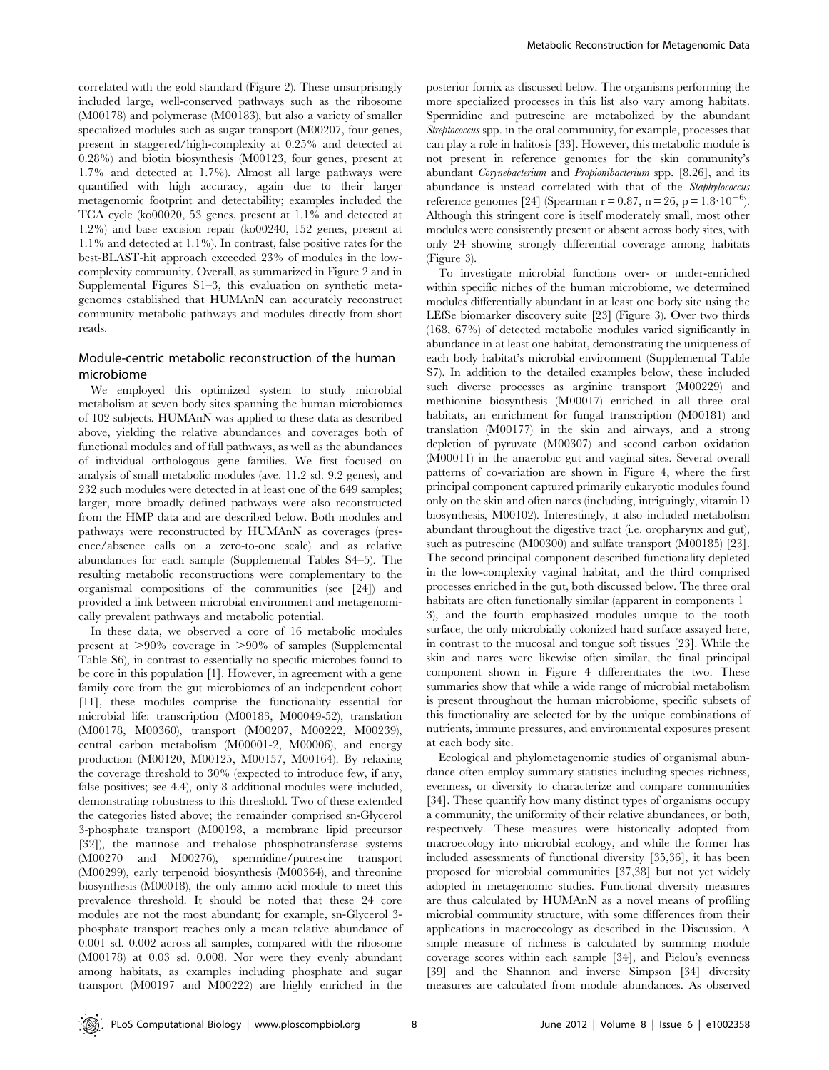correlated with the gold standard (Figure 2). These unsurprisingly included large, well-conserved pathways such as the ribosome (M00178) and polymerase (M00183), but also a variety of smaller specialized modules such as sugar transport (M00207, four genes, present in staggered/high-complexity at 0.25% and detected at 0.28%) and biotin biosynthesis (M00123, four genes, present at 1.7% and detected at 1.7%). Almost all large pathways were quantified with high accuracy, again due to their larger metagenomic footprint and detectability; examples included the TCA cycle (ko00020, 53 genes, present at 1.1% and detected at 1.2%) and base excision repair (ko00240, 152 genes, present at 1.1% and detected at 1.1%). In contrast, false positive rates for the best-BLAST-hit approach exceeded 23% of modules in the lowcomplexity community. Overall, as summarized in Figure 2 and in Supplemental Figures S1–3, this evaluation on synthetic metagenomes established that HUMAnN can accurately reconstruct community metabolic pathways and modules directly from short reads.

# Module-centric metabolic reconstruction of the human microbiome

We employed this optimized system to study microbial metabolism at seven body sites spanning the human microbiomes of 102 subjects. HUMAnN was applied to these data as described above, yielding the relative abundances and coverages both of functional modules and of full pathways, as well as the abundances of individual orthologous gene families. We first focused on analysis of small metabolic modules (ave. 11.2 sd. 9.2 genes), and 232 such modules were detected in at least one of the 649 samples; larger, more broadly defined pathways were also reconstructed from the HMP data and are described below. Both modules and pathways were reconstructed by HUMAnN as coverages (presence/absence calls on a zero-to-one scale) and as relative abundances for each sample (Supplemental Tables S4–5). The resulting metabolic reconstructions were complementary to the organismal compositions of the communities (see [24]) and provided a link between microbial environment and metagenomically prevalent pathways and metabolic potential.

In these data, we observed a core of 16 metabolic modules present at  $>90\%$  coverage in  $>90\%$  of samples (Supplemental Table S6), in contrast to essentially no specific microbes found to be core in this population [1]. However, in agreement with a gene family core from the gut microbiomes of an independent cohort [11], these modules comprise the functionality essential for microbial life: transcription (M00183, M00049-52), translation (M00178, M00360), transport (M00207, M00222, M00239), central carbon metabolism (M00001-2, M00006), and energy production (M00120, M00125, M00157, M00164). By relaxing the coverage threshold to 30% (expected to introduce few, if any, false positives; see 4.4), only 8 additional modules were included, demonstrating robustness to this threshold. Two of these extended the categories listed above; the remainder comprised sn-Glycerol 3-phosphate transport (M00198, a membrane lipid precursor [32]), the mannose and trehalose phosphotransferase systems (M00270 and M00276), spermidine/putrescine transport (M00299), early terpenoid biosynthesis (M00364), and threonine biosynthesis (M00018), the only amino acid module to meet this prevalence threshold. It should be noted that these 24 core modules are not the most abundant; for example, sn-Glycerol 3 phosphate transport reaches only a mean relative abundance of 0.001 sd. 0.002 across all samples, compared with the ribosome (M00178) at 0.03 sd. 0.008. Nor were they evenly abundant among habitats, as examples including phosphate and sugar transport (M00197 and M00222) are highly enriched in the

posterior fornix as discussed below. The organisms performing the more specialized processes in this list also vary among habitats. Spermidine and putrescine are metabolized by the abundant Streptococcus spp. in the oral community, for example, processes that can play a role in halitosis [33]. However, this metabolic module is not present in reference genomes for the skin community's abundant Corynebacterium and Propionibacterium spp. [8,26], and its abundance is instead correlated with that of the Staphylococcus reference genomes [24] (Spearman  $r = 0.87$ ,  $n = 26$ ,  $p = 1.8 \cdot 10^{-6}$ ). Although this stringent core is itself moderately small, most other modules were consistently present or absent across body sites, with only 24 showing strongly differential coverage among habitats (Figure 3).

To investigate microbial functions over- or under-enriched within specific niches of the human microbiome, we determined modules differentially abundant in at least one body site using the LEfSe biomarker discovery suite [23] (Figure 3). Over two thirds (168, 67%) of detected metabolic modules varied significantly in abundance in at least one habitat, demonstrating the uniqueness of each body habitat's microbial environment (Supplemental Table S7). In addition to the detailed examples below, these included such diverse processes as arginine transport (M00229) and methionine biosynthesis (M00017) enriched in all three oral habitats, an enrichment for fungal transcription (M00181) and translation (M00177) in the skin and airways, and a strong depletion of pyruvate (M00307) and second carbon oxidation (M00011) in the anaerobic gut and vaginal sites. Several overall patterns of co-variation are shown in Figure 4, where the first principal component captured primarily eukaryotic modules found only on the skin and often nares (including, intriguingly, vitamin D biosynthesis, M00102). Interestingly, it also included metabolism abundant throughout the digestive tract (i.e. oropharynx and gut), such as putrescine (M00300) and sulfate transport (M00185) [23]. The second principal component described functionality depleted in the low-complexity vaginal habitat, and the third comprised processes enriched in the gut, both discussed below. The three oral habitats are often functionally similar (apparent in components 1– 3), and the fourth emphasized modules unique to the tooth surface, the only microbially colonized hard surface assayed here, in contrast to the mucosal and tongue soft tissues [23]. While the skin and nares were likewise often similar, the final principal component shown in Figure 4 differentiates the two. These summaries show that while a wide range of microbial metabolism is present throughout the human microbiome, specific subsets of this functionality are selected for by the unique combinations of nutrients, immune pressures, and environmental exposures present at each body site.

Ecological and phylometagenomic studies of organismal abundance often employ summary statistics including species richness, evenness, or diversity to characterize and compare communities [34]. These quantify how many distinct types of organisms occupy a community, the uniformity of their relative abundances, or both, respectively. These measures were historically adopted from macroecology into microbial ecology, and while the former has included assessments of functional diversity [35,36], it has been proposed for microbial communities [37,38] but not yet widely adopted in metagenomic studies. Functional diversity measures are thus calculated by HUMAnN as a novel means of profiling microbial community structure, with some differences from their applications in macroecology as described in the Discussion. A simple measure of richness is calculated by summing module coverage scores within each sample [34], and Pielou's evenness [39] and the Shannon and inverse Simpson [34] diversity measures are calculated from module abundances. As observed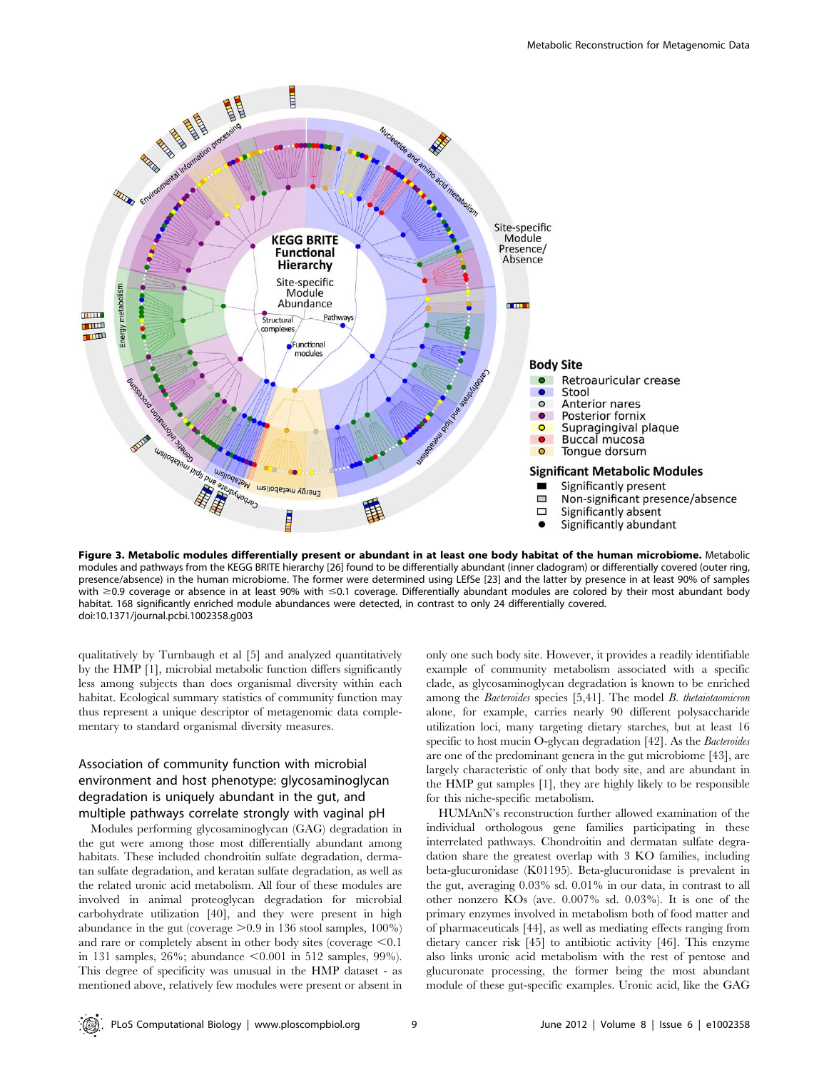

Figure 3. Metabolic modules differentially present or abundant in at least one body habitat of the human microbiome. Metabolic modules and pathways from the KEGG BRITE hierarchy [26] found to be differentially abundant (inner cladogram) or differentially covered (outer ring, presence/absence) in the human microbiome. The former were determined using LEfSe [23] and the latter by presence in at least 90% of samples with  $\geq$ 0.9 coverage or absence in at least 90% with  $\leq$ 0.1 coverage. Differentially abundant modules are colored by their most abundant body habitat. 168 significantly enriched module abundances were detected, in contrast to only 24 differentially covered. doi:10.1371/journal.pcbi.1002358.g003

qualitatively by Turnbaugh et al [5] and analyzed quantitatively by the HMP [1], microbial metabolic function differs significantly less among subjects than does organismal diversity within each habitat. Ecological summary statistics of community function may thus represent a unique descriptor of metagenomic data complementary to standard organismal diversity measures.

# Association of community function with microbial environment and host phenotype: glycosaminoglycan degradation is uniquely abundant in the gut, and multiple pathways correlate strongly with vaginal pH

Modules performing glycosaminoglycan (GAG) degradation in the gut were among those most differentially abundant among habitats. These included chondroitin sulfate degradation, dermatan sulfate degradation, and keratan sulfate degradation, as well as the related uronic acid metabolism. All four of these modules are involved in animal proteoglycan degradation for microbial carbohydrate utilization [40], and they were present in high abundance in the gut (coverage  $>0.9$  in 136 stool samples, 100%) and rare or completely absent in other body sites (coverage  $\leq 0.1$ ) in 131 samples, 26%; abundance  $\leq 0.001$  in 512 samples, 99%). This degree of specificity was unusual in the HMP dataset - as mentioned above, relatively few modules were present or absent in only one such body site. However, it provides a readily identifiable example of community metabolism associated with a specific clade, as glycosaminoglycan degradation is known to be enriched among the *Bacteroides* species [5,41]. The model *B. thetaiotaomicron* alone, for example, carries nearly 90 different polysaccharide utilization loci, many targeting dietary starches, but at least 16 specific to host mucin O-glycan degradation [42]. As the Bacteroides are one of the predominant genera in the gut microbiome [43], are largely characteristic of only that body site, and are abundant in the HMP gut samples [1], they are highly likely to be responsible for this niche-specific metabolism.

HUMAnN's reconstruction further allowed examination of the individual orthologous gene families participating in these interrelated pathways. Chondroitin and dermatan sulfate degradation share the greatest overlap with 3 KO families, including beta-glucuronidase (K01195). Beta-glucuronidase is prevalent in the gut, averaging 0.03% sd. 0.01% in our data, in contrast to all other nonzero KOs (ave. 0.007% sd. 0.03%). It is one of the primary enzymes involved in metabolism both of food matter and of pharmaceuticals [44], as well as mediating effects ranging from dietary cancer risk [45] to antibiotic activity [46]. This enzyme also links uronic acid metabolism with the rest of pentose and glucuronate processing, the former being the most abundant module of these gut-specific examples. Uronic acid, like the GAG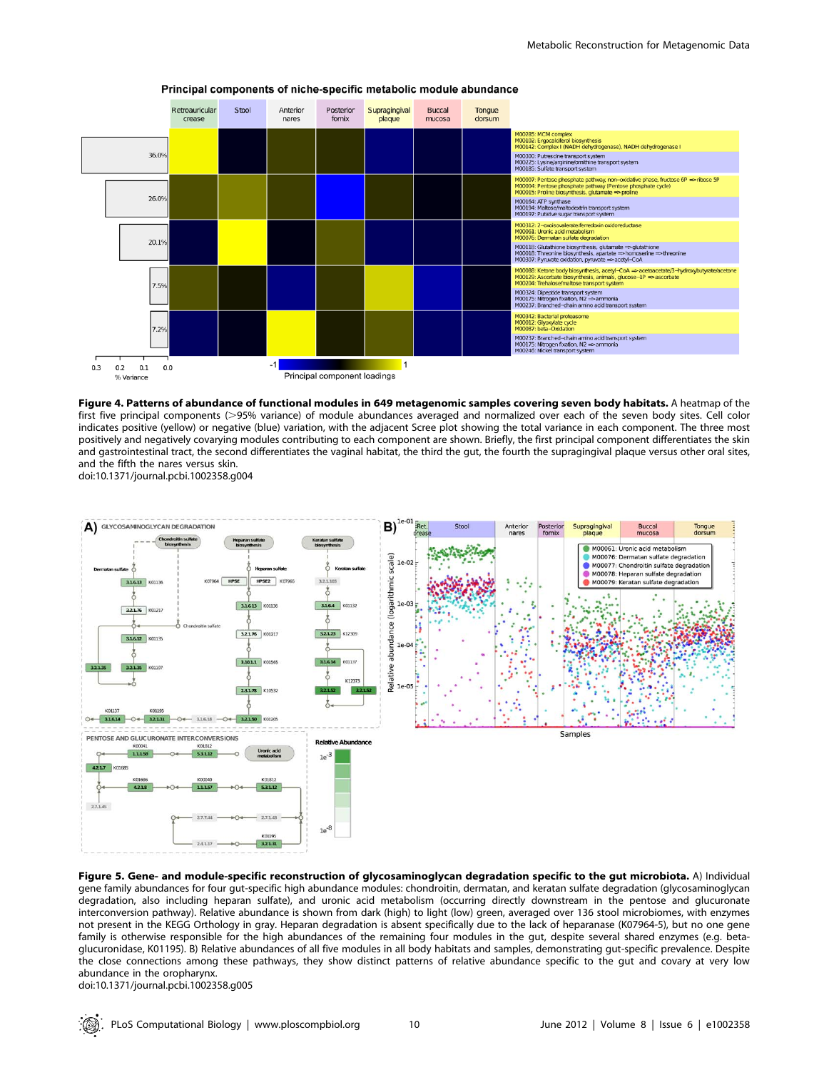

#### Principal components of niche-specific metabolic module abundance

Figure 4. Patterns of abundance of functional modules in 649 metagenomic samples covering seven body habitats. A heatmap of the first five principal components (>95% variance) of module abundances averaged and normalized over each of the seven body sites. Cell color indicates positive (yellow) or negative (blue) variation, with the adjacent Scree plot showing the total variance in each component. The three most positively and negatively covarying modules contributing to each component are shown. Briefly, the first principal component differentiates the skin and gastrointestinal tract, the second differentiates the vaginal habitat, the third the gut, the fourth the supragingival plaque versus other oral sites, and the fifth the nares versus skin.

doi:10.1371/journal.pcbi.1002358.g004



Figure 5. Gene- and module-specific reconstruction of glycosaminoglycan degradation specific to the gut microbiota. A) Individual gene family abundances for four gut-specific high abundance modules: chondroitin, dermatan, and keratan sulfate degradation (glycosaminoglycan degradation, also including heparan sulfate), and uronic acid metabolism (occurring directly downstream in the pentose and glucuronate interconversion pathway). Relative abundance is shown from dark (high) to light (low) green, averaged over 136 stool microbiomes, with enzymes not present in the KEGG Orthology in gray. Heparan degradation is absent specifically due to the lack of heparanase (K07964-5), but no one gene family is otherwise responsible for the high abundances of the remaining four modules in the gut, despite several shared enzymes (e.g. betaglucuronidase, K01195). B) Relative abundances of all five modules in all body habitats and samples, demonstrating gut-specific prevalence. Despite the close connections among these pathways, they show distinct patterns of relative abundance specific to the gut and covary at very low abundance in the oropharynx.

doi:10.1371/journal.pcbi.1002358.g005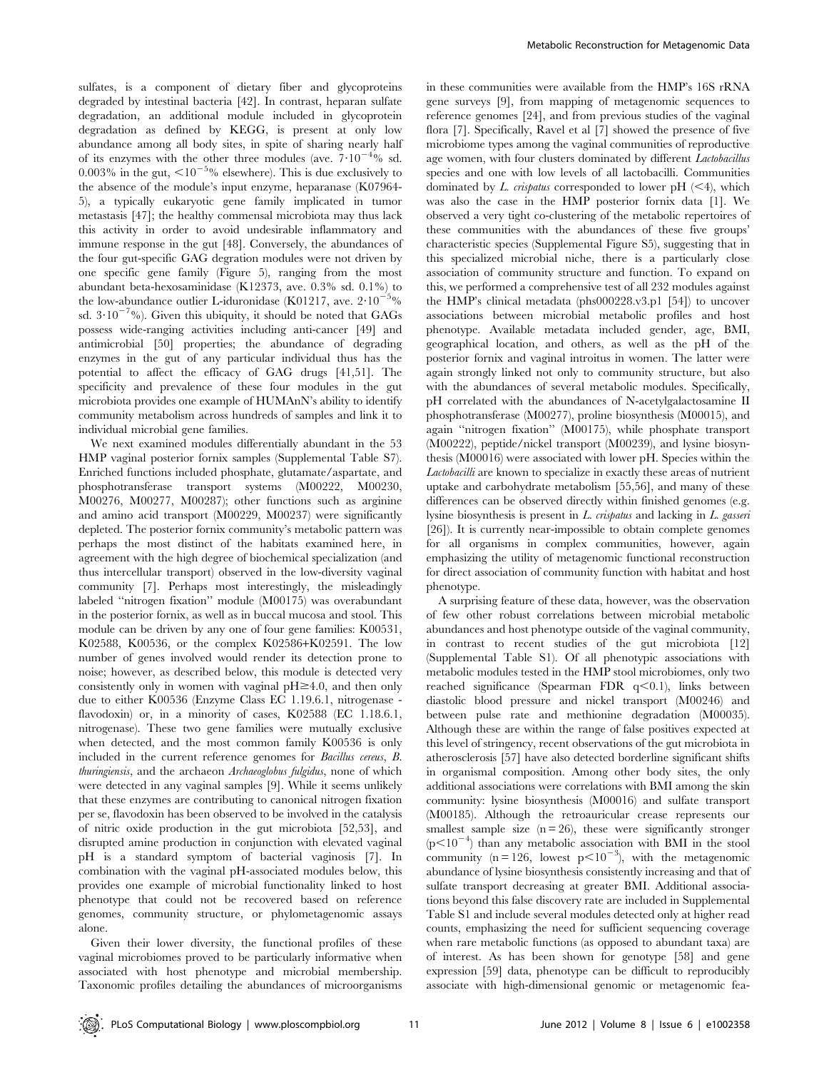sulfates, is a component of dietary fiber and glycoproteins degraded by intestinal bacteria [42]. In contrast, heparan sulfate degradation, an additional module included in glycoprotein degradation as defined by KEGG, is present at only low abundance among all body sites, in spite of sharing nearly half of its enzymes with the other three modules (ave.  $7.10^{-4}\%$  sd. 0.003% in the gut,  $\leq 10^{-5}$ % elsewhere). This is due exclusively to the absence of the module's input enzyme, heparanase (K07964- 5), a typically eukaryotic gene family implicated in tumor metastasis [47]; the healthy commensal microbiota may thus lack this activity in order to avoid undesirable inflammatory and immune response in the gut [48]. Conversely, the abundances of the four gut-specific GAG degration modules were not driven by one specific gene family (Figure 5), ranging from the most abundant beta-hexosaminidase (K12373, ave. 0.3% sd. 0.1%) to the low-abundance outlier L-iduronidase (K01217, ave.  $2 \cdot 10^{-5}$ % sd.  $3 \cdot 10^{-7}$ %). Given this ubiquity, it should be noted that GAGs possess wide-ranging activities including anti-cancer [49] and antimicrobial [50] properties; the abundance of degrading enzymes in the gut of any particular individual thus has the potential to affect the efficacy of GAG drugs [41,51]. The specificity and prevalence of these four modules in the gut microbiota provides one example of HUMAnN's ability to identify community metabolism across hundreds of samples and link it to individual microbial gene families.

We next examined modules differentially abundant in the 53 HMP vaginal posterior fornix samples (Supplemental Table S7). Enriched functions included phosphate, glutamate/aspartate, and phosphotransferase transport systems (M00222, M00230, M00276, M00277, M00287); other functions such as arginine and amino acid transport (M00229, M00237) were significantly depleted. The posterior fornix community's metabolic pattern was perhaps the most distinct of the habitats examined here, in agreement with the high degree of biochemical specialization (and thus intercellular transport) observed in the low-diversity vaginal community [7]. Perhaps most interestingly, the misleadingly labeled ''nitrogen fixation'' module (M00175) was overabundant in the posterior fornix, as well as in buccal mucosa and stool. This module can be driven by any one of four gene families: K00531, K02588, K00536, or the complex K02586+K02591. The low number of genes involved would render its detection prone to noise; however, as described below, this module is detected very consistently only in women with vaginal  $pH \ge 4.0$ , and then only due to either K00536 (Enzyme Class EC 1.19.6.1, nitrogenase flavodoxin) or, in a minority of cases, K02588 (EC 1.18.6.1, nitrogenase). These two gene families were mutually exclusive when detected, and the most common family K00536 is only included in the current reference genomes for Bacillus cereus, B. thuringiensis, and the archaeon Archaeoglobus fulgidus, none of which were detected in any vaginal samples [9]. While it seems unlikely that these enzymes are contributing to canonical nitrogen fixation per se, flavodoxin has been observed to be involved in the catalysis of nitric oxide production in the gut microbiota [52,53], and disrupted amine production in conjunction with elevated vaginal pH is a standard symptom of bacterial vaginosis [7]. In combination with the vaginal pH-associated modules below, this provides one example of microbial functionality linked to host phenotype that could not be recovered based on reference genomes, community structure, or phylometagenomic assays alone.

Given their lower diversity, the functional profiles of these vaginal microbiomes proved to be particularly informative when associated with host phenotype and microbial membership. Taxonomic profiles detailing the abundances of microorganisms in these communities were available from the HMP's 16S rRNA gene surveys [9], from mapping of metagenomic sequences to reference genomes [24], and from previous studies of the vaginal flora [7]. Specifically, Ravel et al [7] showed the presence of five microbiome types among the vaginal communities of reproductive age women, with four clusters dominated by different Lactobacillus species and one with low levels of all lactobacilli. Communities dominated by L. crispatus corresponded to lower pH  $(\leq 4)$ , which was also the case in the HMP posterior fornix data [1]. We observed a very tight co-clustering of the metabolic repertoires of these communities with the abundances of these five groups' characteristic species (Supplemental Figure S5), suggesting that in this specialized microbial niche, there is a particularly close association of community structure and function. To expand on this, we performed a comprehensive test of all 232 modules against the HMP's clinical metadata (phs000228.v3.p1 [54]) to uncover associations between microbial metabolic profiles and host phenotype. Available metadata included gender, age, BMI, geographical location, and others, as well as the pH of the posterior fornix and vaginal introitus in women. The latter were again strongly linked not only to community structure, but also with the abundances of several metabolic modules. Specifically, pH correlated with the abundances of N-acetylgalactosamine II phosphotransferase (M00277), proline biosynthesis (M00015), and again ''nitrogen fixation'' (M00175), while phosphate transport (M00222), peptide/nickel transport (M00239), and lysine biosynthesis (M00016) were associated with lower pH. Species within the Lactobacilli are known to specialize in exactly these areas of nutrient uptake and carbohydrate metabolism [55,56], and many of these differences can be observed directly within finished genomes (e.g. lysine biosynthesis is present in L. crispatus and lacking in L. gasseri [26]). It is currently near-impossible to obtain complete genomes for all organisms in complex communities, however, again emphasizing the utility of metagenomic functional reconstruction for direct association of community function with habitat and host phenotype.

A surprising feature of these data, however, was the observation of few other robust correlations between microbial metabolic abundances and host phenotype outside of the vaginal community, in contrast to recent studies of the gut microbiota [12] (Supplemental Table S1). Of all phenotypic associations with metabolic modules tested in the HMP stool microbiomes, only two reached significance (Spearman FDR  $q<0.1$ ), links between diastolic blood pressure and nickel transport (M00246) and between pulse rate and methionine degradation (M00035). Although these are within the range of false positives expected at this level of stringency, recent observations of the gut microbiota in atherosclerosis [57] have also detected borderline significant shifts in organismal composition. Among other body sites, the only additional associations were correlations with BMI among the skin community: lysine biosynthesis (M00016) and sulfate transport (M00185). Although the retroauricular crease represents our smallest sample size  $(n = 26)$ , these were significantly stronger  $(p<10^{-4})$  than any metabolic association with BMI in the stool community ( $n = 126$ , lowest  $p < 10^{-3}$ ), with the metagenomic abundance of lysine biosynthesis consistently increasing and that of sulfate transport decreasing at greater BMI. Additional associations beyond this false discovery rate are included in Supplemental Table S1 and include several modules detected only at higher read counts, emphasizing the need for sufficient sequencing coverage when rare metabolic functions (as opposed to abundant taxa) are of interest. As has been shown for genotype [58] and gene expression [59] data, phenotype can be difficult to reproducibly associate with high-dimensional genomic or metagenomic fea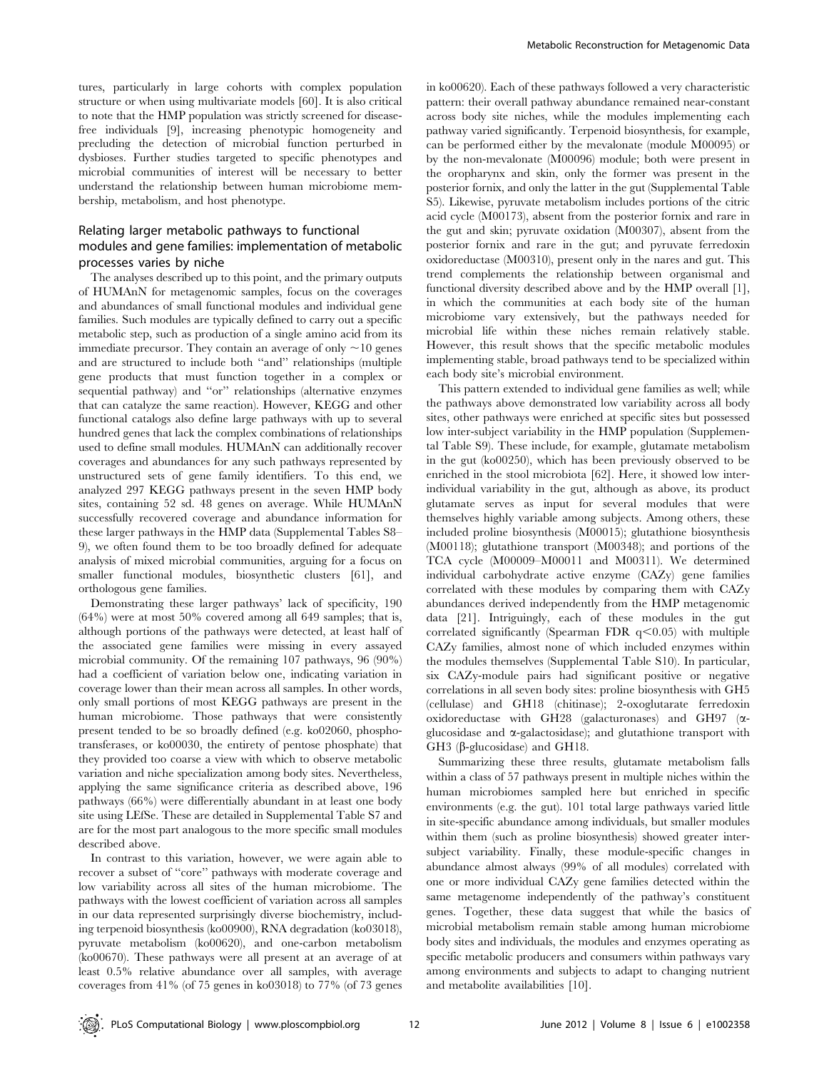tures, particularly in large cohorts with complex population structure or when using multivariate models [60]. It is also critical to note that the HMP population was strictly screened for diseasefree individuals [9], increasing phenotypic homogeneity and precluding the detection of microbial function perturbed in dysbioses. Further studies targeted to specific phenotypes and microbial communities of interest will be necessary to better understand the relationship between human microbiome membership, metabolism, and host phenotype.

# Relating larger metabolic pathways to functional modules and gene families: implementation of metabolic processes varies by niche

The analyses described up to this point, and the primary outputs of HUMAnN for metagenomic samples, focus on the coverages and abundances of small functional modules and individual gene families. Such modules are typically defined to carry out a specific metabolic step, such as production of a single amino acid from its immediate precursor. They contain an average of only  $\sim$ 10 genes and are structured to include both ''and'' relationships (multiple gene products that must function together in a complex or sequential pathway) and ''or'' relationships (alternative enzymes that can catalyze the same reaction). However, KEGG and other functional catalogs also define large pathways with up to several hundred genes that lack the complex combinations of relationships used to define small modules. HUMAnN can additionally recover coverages and abundances for any such pathways represented by unstructured sets of gene family identifiers. To this end, we analyzed 297 KEGG pathways present in the seven HMP body sites, containing 52 sd. 48 genes on average. While HUMAnN successfully recovered coverage and abundance information for these larger pathways in the HMP data (Supplemental Tables S8– 9), we often found them to be too broadly defined for adequate analysis of mixed microbial communities, arguing for a focus on smaller functional modules, biosynthetic clusters [61], and orthologous gene families.

Demonstrating these larger pathways' lack of specificity, 190 (64%) were at most 50% covered among all 649 samples; that is, although portions of the pathways were detected, at least half of the associated gene families were missing in every assayed microbial community. Of the remaining 107 pathways, 96 (90%) had a coefficient of variation below one, indicating variation in coverage lower than their mean across all samples. In other words, only small portions of most KEGG pathways are present in the human microbiome. Those pathways that were consistently present tended to be so broadly defined (e.g. ko02060, phosphotransferases, or ko00030, the entirety of pentose phosphate) that they provided too coarse a view with which to observe metabolic variation and niche specialization among body sites. Nevertheless, applying the same significance criteria as described above, 196 pathways (66%) were differentially abundant in at least one body site using LEfSe. These are detailed in Supplemental Table S7 and are for the most part analogous to the more specific small modules described above.

In contrast to this variation, however, we were again able to recover a subset of ''core'' pathways with moderate coverage and low variability across all sites of the human microbiome. The pathways with the lowest coefficient of variation across all samples in our data represented surprisingly diverse biochemistry, including terpenoid biosynthesis (ko00900), RNA degradation (ko03018), pyruvate metabolism (ko00620), and one-carbon metabolism (ko00670). These pathways were all present at an average of at least 0.5% relative abundance over all samples, with average coverages from 41% (of 75 genes in ko03018) to 77% (of 73 genes

in ko00620). Each of these pathways followed a very characteristic pattern: their overall pathway abundance remained near-constant across body site niches, while the modules implementing each pathway varied significantly. Terpenoid biosynthesis, for example, can be performed either by the mevalonate (module M00095) or by the non-mevalonate (M00096) module; both were present in the oropharynx and skin, only the former was present in the posterior fornix, and only the latter in the gut (Supplemental Table S5). Likewise, pyruvate metabolism includes portions of the citric acid cycle (M00173), absent from the posterior fornix and rare in the gut and skin; pyruvate oxidation (M00307), absent from the posterior fornix and rare in the gut; and pyruvate ferredoxin oxidoreductase (M00310), present only in the nares and gut. This trend complements the relationship between organismal and functional diversity described above and by the HMP overall [1], in which the communities at each body site of the human microbiome vary extensively, but the pathways needed for microbial life within these niches remain relatively stable. However, this result shows that the specific metabolic modules implementing stable, broad pathways tend to be specialized within each body site's microbial environment.

This pattern extended to individual gene families as well; while the pathways above demonstrated low variability across all body sites, other pathways were enriched at specific sites but possessed low inter-subject variability in the HMP population (Supplemental Table S9). These include, for example, glutamate metabolism in the gut (ko00250), which has been previously observed to be enriched in the stool microbiota [62]. Here, it showed low interindividual variability in the gut, although as above, its product glutamate serves as input for several modules that were themselves highly variable among subjects. Among others, these included proline biosynthesis (M00015); glutathione biosynthesis (M00118); glutathione transport (M00348); and portions of the TCA cycle (M00009–M00011 and M00311). We determined individual carbohydrate active enzyme (CAZy) gene families correlated with these modules by comparing them with CAZy abundances derived independently from the HMP metagenomic data [21]. Intriguingly, each of these modules in the gut correlated significantly (Spearman FDR  $q<0.05$ ) with multiple CAZy families, almost none of which included enzymes within the modules themselves (Supplemental Table S10). In particular, six CAZy-module pairs had significant positive or negative correlations in all seven body sites: proline biosynthesis with GH5 (cellulase) and GH18 (chitinase); 2-oxoglutarate ferredoxin oxidoreductase with GH28 (galacturonases) and GH97 (aglucosidase and  $\alpha$ -galactosidase); and glutathione transport with GH3 ( $\beta$ -glucosidase) and GH18.

Summarizing these three results, glutamate metabolism falls within a class of 57 pathways present in multiple niches within the human microbiomes sampled here but enriched in specific environments (e.g. the gut). 101 total large pathways varied little in site-specific abundance among individuals, but smaller modules within them (such as proline biosynthesis) showed greater intersubject variability. Finally, these module-specific changes in abundance almost always (99% of all modules) correlated with one or more individual CAZy gene families detected within the same metagenome independently of the pathway's constituent genes. Together, these data suggest that while the basics of microbial metabolism remain stable among human microbiome body sites and individuals, the modules and enzymes operating as specific metabolic producers and consumers within pathways vary among environments and subjects to adapt to changing nutrient and metabolite availabilities [10].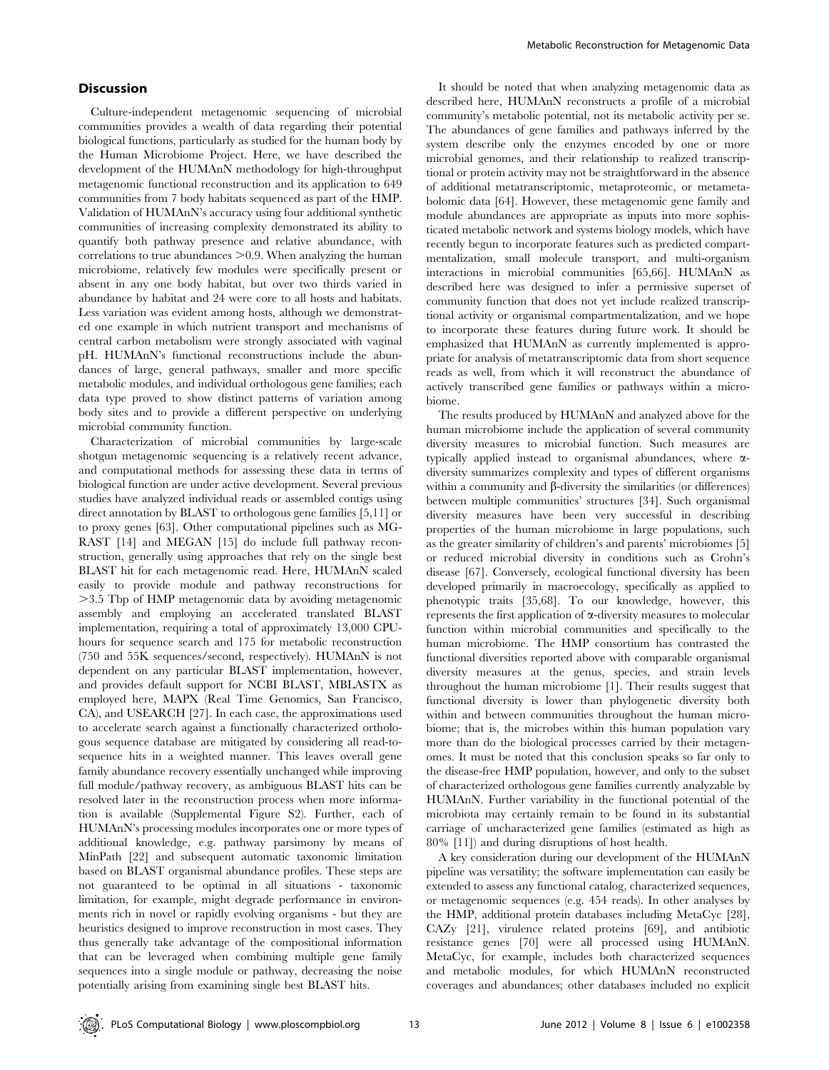## **Discussion**

Culture-independent metagenomic sequencing of microbial communities provides a wealth of data regarding their potential biological functions, particularly as studied for the human body by the Human Microbiome Project. Here, we have described the development of the HUMAnN methodology for high-throughput metagenomic functional reconstruction and its application to 649 communities from 7 body habitats sequenced as part of the HMP. Validation of HUMAnN's accuracy using four additional synthetic communities of increasing complexity demonstrated its ability to quantify both pathway presence and relative abundance, with correlations to true abundances  $>0.9$ . When analyzing the human microbiome, relatively few modules were specifically present or absent in any one body habitat, but over two thirds varied in abundance by habitat and 24 were core to all hosts and habitats. Less variation was evident among hosts, although we demonstrated one example in which nutrient transport and mechanisms of central carbon metabolism were strongly associated with vaginal pH. HUMAnN's functional reconstructions include the abundances of large, general pathways, smaller and more specific metabolic modules, and individual orthologous gene families; each data type proved to show distinct patterns of variation among body sites and to provide a different perspective on underlying microbial community function.

Characterization of microbial communities by large-scale shotgun metagenomic sequencing is a relatively recent advance, and computational methods for assessing these data in terms of biological function are under active development. Several previous studies have analyzed individual reads or assembled contigs using direct annotation by BLAST to orthologous gene families [5,11] or to proxy genes [63]. Other computational pipelines such as MG-RAST [14] and MEGAN [15] do include full pathway reconstruction, generally using approaches that rely on the single best BLAST hit for each metagenomic read. Here, HUMAnN scaled easily to provide module and pathway reconstructions for .3.5 Tbp of HMP metagenomic data by avoiding metagenomic assembly and employing an accelerated translated BLAST implementation, requiring a total of approximately 13,000 CPUhours for sequence search and 175 for metabolic reconstruction (750 and 55K sequences/second, respectively). HUMAnN is not dependent on any particular BLAST implementation, however, and provides default support for NCBI BLAST, MBLASTX as employed here, MAPX (Real Time Genomics, San Francisco, CA), and USEARCH [27]. In each case, the approximations used to accelerate search against a functionally characterized orthologous sequence database are mitigated by considering all read-tosequence hits in a weighted manner. This leaves overall gene family abundance recovery essentially unchanged while improving full module/pathway recovery, as ambiguous BLAST hits can be resolved later in the reconstruction process when more information is available (Supplemental Figure S2). Further, each of HUMAnN's processing modules incorporates one or more types of additional knowledge, e.g. pathway parsimony by means of MinPath [22] and subsequent automatic taxonomic limitation based on BLAST organismal abundance profiles. These steps are not guaranteed to be optimal in all situations - taxonomic limitation, for example, might degrade performance in environments rich in novel or rapidly evolving organisms - but they are heuristics designed to improve reconstruction in most cases. They thus generally take advantage of the compositional information that can be leveraged when combining multiple gene family sequences into a single module or pathway, decreasing the noise potentially arising from examining single best BLAST hits.

It should be noted that when analyzing metagenomic data as described here, HUMAnN reconstructs a profile of a microbial community's metabolic potential, not its metabolic activity per se. The abundances of gene families and pathways inferred by the system describe only the enzymes encoded by one or more microbial genomes, and their relationship to realized transcriptional or protein activity may not be straightforward in the absence of additional metatranscriptomic, metaproteomic, or metametabolomic data [64]. However, these metagenomic gene family and module abundances are appropriate as inputs into more sophisticated metabolic network and systems biology models, which have recently begun to incorporate features such as predicted compartmentalization, small molecule transport, and multi-organism interactions in microbial communities [65,66]. HUMAnN as described here was designed to infer a permissive superset of community function that does not yet include realized transcriptional activity or organismal compartmentalization, and we hope to incorporate these features during future work. It should be emphasized that HUMAnN as currently implemented is appropriate for analysis of metatranscriptomic data from short sequence reads as well, from which it will reconstruct the abundance of actively transcribed gene families or pathways within a microbiome.

The results produced by HUMAnN and analyzed above for the human microbiome include the application of several community diversity measures to microbial function. Such measures are typically applied instead to organismal abundances, where  $\alpha$ diversity summarizes complexity and types of different organisms within a community and  $\beta$ -diversity the similarities (or differences) between multiple communities' structures [34]. Such organismal diversity measures have been very successful in describing properties of the human microbiome in large populations, such as the greater similarity of children's and parents' microbiomes [5] or reduced microbial diversity in conditions such as Crohn's disease [67]. Conversely, ecological functional diversity has been developed primarily in macroecology, specifically as applied to phenotypic traits [35,68]. To our knowledge, however, this represents the first application of  $\alpha$ -diversity measures to molecular function within microbial communities and specifically to the human microbiome. The HMP consortium has contrasted the functional diversities reported above with comparable organismal diversity measures at the genus, species, and strain levels throughout the human microbiome [1]. Their results suggest that functional diversity is lower than phylogenetic diversity both within and between communities throughout the human microbiome; that is, the microbes within this human population vary more than do the biological processes carried by their metagenomes. It must be noted that this conclusion speaks so far only to the disease-free HMP population, however, and only to the subset of characterized orthologous gene families currently analyzable by HUMAnN. Further variability in the functional potential of the microbiota may certainly remain to be found in its substantial carriage of uncharacterized gene families (estimated as high as 80% [11]) and during disruptions of host health.

A key consideration during our development of the HUMAnN pipeline was versatility; the software implementation can easily be extended to assess any functional catalog, characterized sequences, or metagenomic sequences (e.g. 454 reads). In other analyses by the HMP, additional protein databases including MetaCyc [28], CAZy [21], virulence related proteins [69], and antibiotic resistance genes [70] were all processed using HUMAnN. MetaCyc, for example, includes both characterized sequences and metabolic modules, for which HUMAnN reconstructed coverages and abundances; other databases included no explicit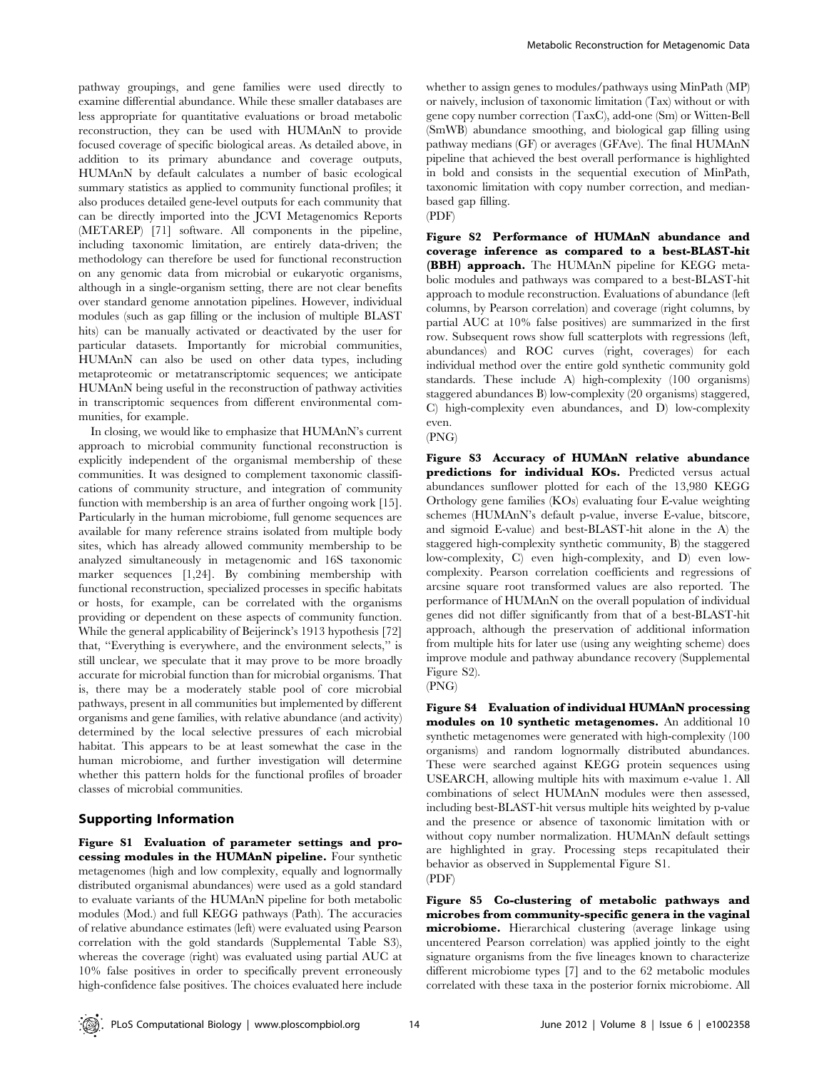pathway groupings, and gene families were used directly to examine differential abundance. While these smaller databases are less appropriate for quantitative evaluations or broad metabolic reconstruction, they can be used with HUMAnN to provide focused coverage of specific biological areas. As detailed above, in addition to its primary abundance and coverage outputs, HUMAnN by default calculates a number of basic ecological summary statistics as applied to community functional profiles; it also produces detailed gene-level outputs for each community that can be directly imported into the JCVI Metagenomics Reports (METAREP) [71] software. All components in the pipeline, including taxonomic limitation, are entirely data-driven; the methodology can therefore be used for functional reconstruction on any genomic data from microbial or eukaryotic organisms, although in a single-organism setting, there are not clear benefits over standard genome annotation pipelines. However, individual modules (such as gap filling or the inclusion of multiple BLAST hits) can be manually activated or deactivated by the user for particular datasets. Importantly for microbial communities, HUMAnN can also be used on other data types, including metaproteomic or metatranscriptomic sequences; we anticipate HUMAnN being useful in the reconstruction of pathway activities in transcriptomic sequences from different environmental communities, for example.

In closing, we would like to emphasize that HUMAnN's current approach to microbial community functional reconstruction is explicitly independent of the organismal membership of these communities. It was designed to complement taxonomic classifications of community structure, and integration of community function with membership is an area of further ongoing work [15]. Particularly in the human microbiome, full genome sequences are available for many reference strains isolated from multiple body sites, which has already allowed community membership to be analyzed simultaneously in metagenomic and 16S taxonomic marker sequences [1,24]. By combining membership with functional reconstruction, specialized processes in specific habitats or hosts, for example, can be correlated with the organisms providing or dependent on these aspects of community function. While the general applicability of Beijerinck's 1913 hypothesis [72] that, ''Everything is everywhere, and the environment selects,'' is still unclear, we speculate that it may prove to be more broadly accurate for microbial function than for microbial organisms. That is, there may be a moderately stable pool of core microbial pathways, present in all communities but implemented by different organisms and gene families, with relative abundance (and activity) determined by the local selective pressures of each microbial habitat. This appears to be at least somewhat the case in the human microbiome, and further investigation will determine whether this pattern holds for the functional profiles of broader classes of microbial communities.

### Supporting Information

Figure S1 Evaluation of parameter settings and processing modules in the HUMAnN pipeline. Four synthetic metagenomes (high and low complexity, equally and lognormally distributed organismal abundances) were used as a gold standard to evaluate variants of the HUMAnN pipeline for both metabolic modules (Mod.) and full KEGG pathways (Path). The accuracies of relative abundance estimates (left) were evaluated using Pearson correlation with the gold standards (Supplemental Table S3), whereas the coverage (right) was evaluated using partial AUC at 10% false positives in order to specifically prevent erroneously high-confidence false positives. The choices evaluated here include

whether to assign genes to modules/pathways using MinPath (MP) or naively, inclusion of taxonomic limitation (Tax) without or with gene copy number correction (TaxC), add-one (Sm) or Witten-Bell (SmWB) abundance smoothing, and biological gap filling using pathway medians (GF) or averages (GFAve). The final HUMAnN pipeline that achieved the best overall performance is highlighted in bold and consists in the sequential execution of MinPath, taxonomic limitation with copy number correction, and medianbased gap filling.

#### (PDF)

Figure S2 Performance of HUMAnN abundance and coverage inference as compared to a best-BLAST-hit (BBH) approach. The HUMAnN pipeline for KEGG metabolic modules and pathways was compared to a best-BLAST-hit approach to module reconstruction. Evaluations of abundance (left columns, by Pearson correlation) and coverage (right columns, by partial AUC at 10% false positives) are summarized in the first row. Subsequent rows show full scatterplots with regressions (left, abundances) and ROC curves (right, coverages) for each individual method over the entire gold synthetic community gold standards. These include A) high-complexity (100 organisms) staggered abundances B) low-complexity (20 organisms) staggered, C) high-complexity even abundances, and D) low-complexity even.

#### (PNG)

Figure S3 Accuracy of HUMAnN relative abundance predictions for individual KOs. Predicted versus actual abundances sunflower plotted for each of the 13,980 KEGG Orthology gene families (KOs) evaluating four E-value weighting schemes (HUMAnN's default p-value, inverse E-value, bitscore, and sigmoid E-value) and best-BLAST-hit alone in the A) the staggered high-complexity synthetic community, B) the staggered low-complexity, C) even high-complexity, and D) even lowcomplexity. Pearson correlation coefficients and regressions of arcsine square root transformed values are also reported. The performance of HUMAnN on the overall population of individual genes did not differ significantly from that of a best-BLAST-hit approach, although the preservation of additional information from multiple hits for later use (using any weighting scheme) does improve module and pathway abundance recovery (Supplemental Figure S2).



Figure S4 Evaluation of individual HUMAnN processing modules on 10 synthetic metagenomes. An additional 10 synthetic metagenomes were generated with high-complexity (100 organisms) and random lognormally distributed abundances. These were searched against KEGG protein sequences using USEARCH, allowing multiple hits with maximum e-value 1. All combinations of select HUMAnN modules were then assessed, including best-BLAST-hit versus multiple hits weighted by p-value and the presence or absence of taxonomic limitation with or without copy number normalization. HUMAnN default settings are highlighted in gray. Processing steps recapitulated their behavior as observed in Supplemental Figure S1. (PDF)

Figure S5 Co-clustering of metabolic pathways and microbes from community-specific genera in the vaginal microbiome. Hierarchical clustering (average linkage using uncentered Pearson correlation) was applied jointly to the eight signature organisms from the five lineages known to characterize different microbiome types [7] and to the 62 metabolic modules correlated with these taxa in the posterior fornix microbiome. All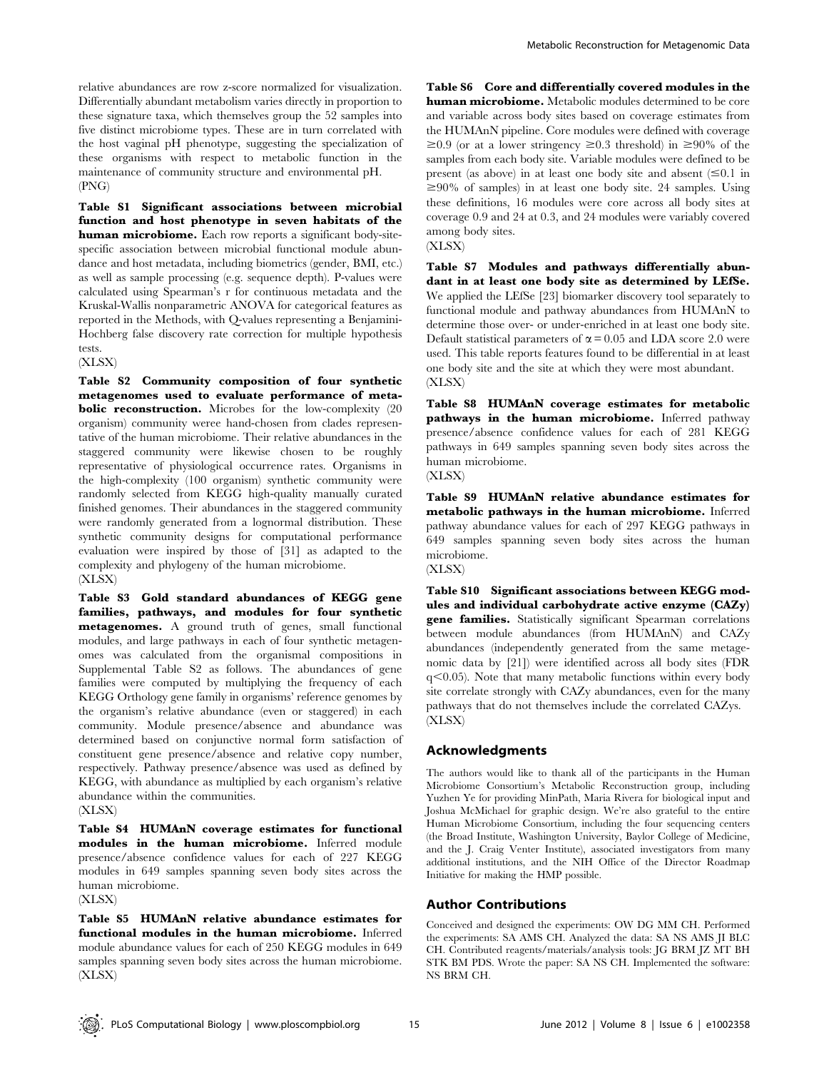relative abundances are row z-score normalized for visualization. Differentially abundant metabolism varies directly in proportion to these signature taxa, which themselves group the 52 samples into five distinct microbiome types. These are in turn correlated with the host vaginal pH phenotype, suggesting the specialization of these organisms with respect to metabolic function in the maintenance of community structure and environmental pH. (PNG)

Table S1 Significant associations between microbial function and host phenotype in seven habitats of the human microbiome. Each row reports a significant body-sitespecific association between microbial functional module abundance and host metadata, including biometrics (gender, BMI, etc.) as well as sample processing (e.g. sequence depth). P-values were calculated using Spearman's r for continuous metadata and the Kruskal-Wallis nonparametric ANOVA for categorical features as reported in the Methods, with Q-values representing a Benjamini-Hochberg false discovery rate correction for multiple hypothesis tests.

#### (XLSX)

Table S2 Community composition of four synthetic metagenomes used to evaluate performance of metabolic reconstruction. Microbes for the low-complexity (20 organism) community weree hand-chosen from clades representative of the human microbiome. Their relative abundances in the staggered community were likewise chosen to be roughly representative of physiological occurrence rates. Organisms in the high-complexity (100 organism) synthetic community were randomly selected from KEGG high-quality manually curated finished genomes. Their abundances in the staggered community were randomly generated from a lognormal distribution. These synthetic community designs for computational performance evaluation were inspired by those of [31] as adapted to the complexity and phylogeny of the human microbiome. (XLSX)

Table S3 Gold standard abundances of KEGG gene families, pathways, and modules for four synthetic metagenomes. A ground truth of genes, small functional modules, and large pathways in each of four synthetic metagenomes was calculated from the organismal compositions in Supplemental Table S2 as follows. The abundances of gene families were computed by multiplying the frequency of each KEGG Orthology gene family in organisms' reference genomes by the organism's relative abundance (even or staggered) in each community. Module presence/absence and abundance was determined based on conjunctive normal form satisfaction of constituent gene presence/absence and relative copy number, respectively. Pathway presence/absence was used as defined by KEGG, with abundance as multiplied by each organism's relative abundance within the communities.

(XLSX)

Table S4 HUMAnN coverage estimates for functional modules in the human microbiome. Inferred module presence/absence confidence values for each of 227 KEGG modules in 649 samples spanning seven body sites across the human microbiome.

(XLSX)

Table S5 HUMAnN relative abundance estimates for functional modules in the human microbiome. Inferred module abundance values for each of 250 KEGG modules in 649 samples spanning seven body sites across the human microbiome. (XLSX)

Table S6 Core and differentially covered modules in the human microbiome. Metabolic modules determined to be core and variable across body sites based on coverage estimates from the HUMAnN pipeline. Core modules were defined with coverage  $\geq 0.9$  (or at a lower stringency  $\geq 0.3$  threshold) in  $\geq 90\%$  of the samples from each body site. Variable modules were defined to be present (as above) in at least one body site and absent  $(\leq 0.1$  in  $\geq$ 90% of samples) in at least one body site. 24 samples. Using these definitions, 16 modules were core across all body sites at coverage 0.9 and 24 at 0.3, and 24 modules were variably covered among body sites.

(XLSX)

Table S7 Modules and pathways differentially abundant in at least one body site as determined by LEfSe. We applied the LEfSe [23] biomarker discovery tool separately to functional module and pathway abundances from HUMAnN to determine those over- or under-enriched in at least one body site. Default statistical parameters of  $\alpha$  = 0.05 and LDA score 2.0 were used. This table reports features found to be differential in at least one body site and the site at which they were most abundant. (XLSX)

Table S8 HUMAnN coverage estimates for metabolic pathways in the human microbiome. Inferred pathway presence/absence confidence values for each of 281 KEGG pathways in 649 samples spanning seven body sites across the human microbiome.

(XLSX)

Table S9 HUMAnN relative abundance estimates for metabolic pathways in the human microbiome. Inferred pathway abundance values for each of 297 KEGG pathways in 649 samples spanning seven body sites across the human microbiome.

(XLSX)

Table S10 Significant associations between KEGG modules and individual carbohydrate active enzyme (CAZy) gene families. Statistically significant Spearman correlations between module abundances (from HUMAnN) and CAZy abundances (independently generated from the same metagenomic data by [21]) were identified across all body sites (FDR  $q<0.05$ ). Note that many metabolic functions within every body site correlate strongly with CAZy abundances, even for the many pathways that do not themselves include the correlated CAZys. (XLSX)

#### Acknowledgments

The authors would like to thank all of the participants in the Human Microbiome Consortium's Metabolic Reconstruction group, including Yuzhen Ye for providing MinPath, Maria Rivera for biological input and Joshua McMichael for graphic design. We're also grateful to the entire Human Microbiome Consortium, including the four sequencing centers (the Broad Institute, Washington University, Baylor College of Medicine, and the J. Craig Venter Institute), associated investigators from many additional institutions, and the NIH Office of the Director Roadmap Initiative for making the HMP possible.

### Author Contributions

Conceived and designed the experiments: OW DG MM CH. Performed the experiments: SA AMS CH. Analyzed the data: SA NS AMS JI BLC CH. Contributed reagents/materials/analysis tools: JG BRM JZ MT BH STK BM PDS. Wrote the paper: SA NS CH. Implemented the software: NS BRM CH.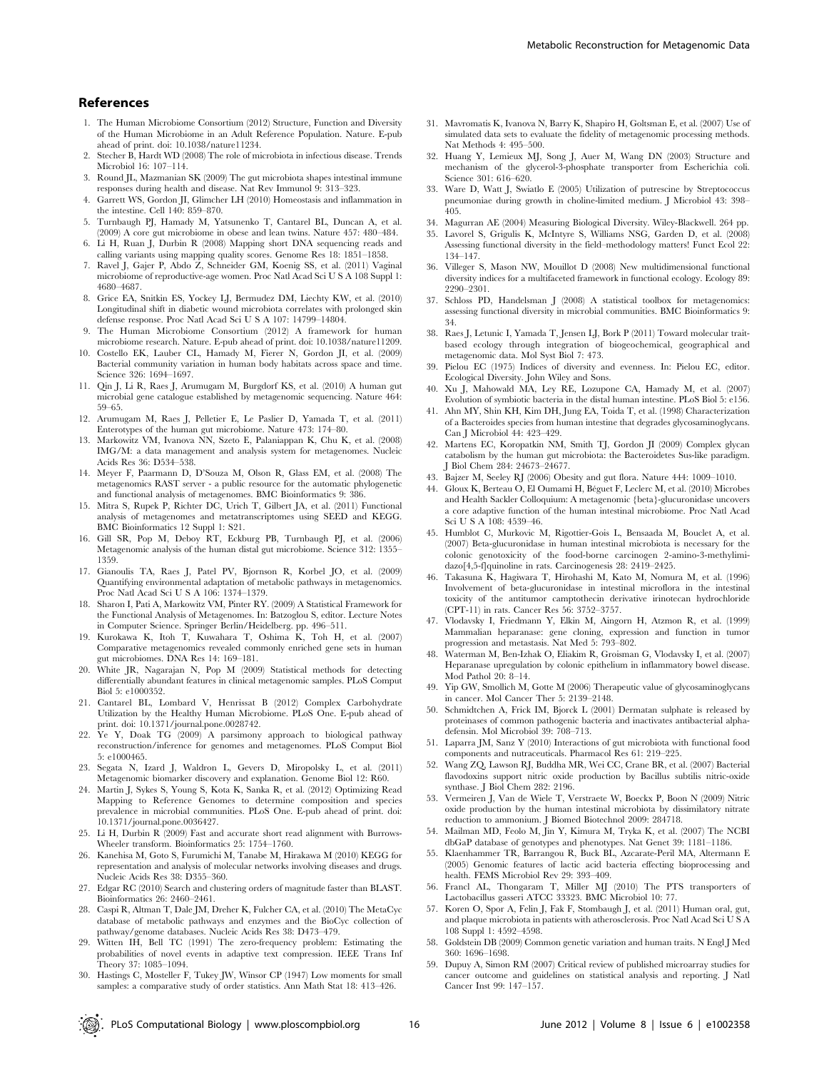- 1. The Human Microbiome Consortium (2012) Structure, Function and Diversity of the Human Microbiome in an Adult Reference Population. Nature. E-pub ahead of print. doi: 10.1038/nature11234.
- Stecher B, Hardt WD (2008) The role of microbiota in infectious disease. Trends Microbiol 16: 107–114.
- 3. Round JL, Mazmanian SK (2009) The gut microbiota shapes intestinal immune responses during health and disease. Nat Rev Immunol 9: 313–323.
- 4. Garrett WS, Gordon JI, Glimcher LH (2010) Homeostasis and inflammation in the intestine. Cell 140: 859–870.
- 5. Turnbaugh PJ, Hamady M, Yatsunenko T, Cantarel BL, Duncan A, et al. (2009) A core gut microbiome in obese and lean twins. Nature 457: 480–484.
- 6. Li H, Ruan J, Durbin R (2008) Mapping short DNA sequencing reads and calling variants using mapping quality scores. Genome Res 18: 1851–1858.
- 7. Ravel J, Gajer P, Abdo Z, Schneider GM, Koenig SS, et al. (2011) Vaginal microbiome of reproductive-age women. Proc Natl Acad Sci U S A 108 Suppl 1: 4680–4687.
- 8. Grice EA, Snitkin ES, Yockey LJ, Bermudez DM, Liechty KW, et al. (2010) Longitudinal shift in diabetic wound microbiota correlates with prolonged skin defense response. Proc Natl Acad Sci U S A 107: 14799–14804.
- 9. The Human Microbiome Consortium (2012) A framework for human microbiome research. Nature. E-pub ahead of print. doi: 10.1038/nature11209.
- 10. Costello EK, Lauber CL, Hamady M, Fierer N, Gordon JI, et al. (2009) Bacterial community variation in human body habitats across space and time. Science 326: 1694–1697.
- 11. Qin J, Li R, Raes J, Arumugam M, Burgdorf KS, et al. (2010) A human gut microbial gene catalogue established by metagenomic sequencing. Nature 464: 59–65.
- 12. Arumugam M, Raes J, Pelletier E, Le Paslier D, Yamada T, et al. (2011) Enterotypes of the human gut microbiome. Nature 473: 174–80.
- 13. Markowitz VM, Ivanova NN, Szeto E, Palaniappan K, Chu K, et al. (2008) IMG/M: a data management and analysis system for metagenomes. Nucleic Acids Res 36: D534–538.
- 14. Meyer F, Paarmann D, D'Souza M, Olson R, Glass EM, et al. (2008) The metagenomics RAST server - a public resource for the automatic phylogenetic and functional analysis of metagenomes. BMC Bioinformatics 9: 386.
- 15. Mitra S, Rupek P, Richter DC, Urich T, Gilbert JA, et al. (2011) Functional analysis of metagenomes and metatranscriptomes using SEED and KEGG. BMC Bioinformatics 12 Suppl 1: S21.
- 16. Gill SR, Pop M, Deboy RT, Eckburg PB, Turnbaugh PJ, et al. (2006) Metagenomic analysis of the human distal gut microbiome. Science 312: 1355– 1359.
- 17. Gianoulis TA, Raes J, Patel PV, Bjornson R, Korbel JO, et al. (2009) Quantifying environmental adaptation of metabolic pathways in metagenomics. Proc Natl Acad Sci U S A 106: 1374–1379.
- 18. Sharon I, Pati A, Markowitz VM, Pinter RY. (2009) A Statistical Framework for the Functional Analysis of Metagenomes. In: Batzoglou S, editor. Lecture Notes in Computer Science. Springer Berlin/Heidelberg. pp. 496–511.
- 19. Kurokawa K, Itoh T, Kuwahara T, Oshima K, Toh H, et al. (2007) Comparative metagenomics revealed commonly enriched gene sets in human gut microbiomes. DNA Res 14: 169–181.
- 20. White JR, Nagarajan N, Pop M (2009) Statistical methods for detecting differentially abundant features in clinical metagenomic samples. PLoS Comput Biol 5: e1000352.
- 21. Cantarel BL, Lombard V, Henrissat B (2012) Complex Carbohydrate Utilization by the Healthy Human Microbiome. PLoS One. E-pub ahead of print. doi: 10.1371/journal.pone.0028742.
- 22. Ye Y, Doak TG (2009) A parsimony approach to biological pathway reconstruction/inference for genomes and metagenomes. PLoS Comput Biol 5: e1000465.
- 23. Segata N, Izard J, Waldron L, Gevers D, Miropolsky L, et al. (2011) Metagenomic biomarker discovery and explanation. Genome Biol 12: R60.
- 24. Martin J, Sykes S, Young S, Kota K, Sanka R, et al. (2012) Optimizing Read Mapping to Reference Genomes to determine composition and species prevalence in microbial communities. PLoS One. E-pub ahead of print. doi: 10.1371/journal.pone.0036427.
- 25. Li H, Durbin R (2009) Fast and accurate short read alignment with Burrows-Wheeler transform. Bioinformatics 25: 1754–1760.
- 26. Kanehisa M, Goto S, Furumichi M, Tanabe M, Hirakawa M (2010) KEGG for representation and analysis of molecular networks involving diseases and drugs. Nucleic Acids Res 38: D355–360.
- 27. Edgar RC (2010) Search and clustering orders of magnitude faster than BLAST. Bioinformatics 26: 2460–2461.
- 28. Caspi R, Altman T, Dale JM, Dreher K, Fulcher CA, et al. (2010) The MetaCyc database of metabolic pathways and enzymes and the BioCyc collection of pathway/genome databases. Nucleic Acids Res 38: D473–479.
- 29. Witten IH, Bell TC (1991) The zero-frequency problem: Estimating the probabilities of novel events in adaptive text compression. IEEE Trans Inf Theory 37: 1085–1094.
- 30. Hastings C, Mosteller F, Tukey JW, Winsor CP (1947) Low moments for small samples: a comparative study of order statistics. Ann Math Stat 18: 413–426.
- 31. Mavromatis K, Ivanova N, Barry K, Shapiro H, Goltsman E, et al. (2007) Use of simulated data sets to evaluate the fidelity of metagenomic processing methods. Nat Methods 4: 495–500.
- 32. Huang Y, Lemieux MJ, Song J, Auer M, Wang DN (2003) Structure and mechanism of the glycerol-3-phosphate transporter from Escherichia coli. Science 301: 616–620.
- 33. Ware D, Watt J, Swiatlo E (2005) Utilization of putrescine by Streptococcus pneumoniae during growth in choline-limited medium. J Microbiol 43: 398–  $405.$
- 34. Magurran AE (2004) Measuring Biological Diversity. Wiley-Blackwell. 264 pp.
- 35. Lavorel S, Grigulis K, McIntyre S, Williams NSG, Garden D, et al. (2008) Assessing functional diversity in the field–methodology matters! Funct Ecol 22: 134–147.
- 36. Villeger S, Mason NW, Mouillot D (2008) New multidimensional functional diversity indices for a multifaceted framework in functional ecology. Ecology 89: 2290–2301.
- 37. Schloss PD, Handelsman J (2008) A statistical toolbox for metagenomics: assessing functional diversity in microbial communities. BMC Bioinformatics 9: 34.
- 38. Raes J, Letunic I, Yamada T, Jensen LJ, Bork P (2011) Toward molecular traitbased ecology through integration of biogeochemical, geographical and metagenomic data. Mol Syst Biol 7: 473.
- 39. Pielou EC (1975) Indices of diversity and evenness. In: Pielou EC, editor. Ecological Diversity. John Wiley and Sons.
- 40. Xu J, Mahowald MA, Ley RE, Lozupone CA, Hamady M, et al. (2007) Evolution of symbiotic bacteria in the distal human intestine. PLoS Biol 5: e156.
- 41. Ahn MY, Shin KH, Kim DH, Jung EA, Toida T, et al. (1998) Characterization of a Bacteroides species from human intestine that degrades glycosaminoglycans. Can J Microbiol 44: 423–429.
- 42. Martens EC, Koropatkin NM, Smith TJ, Gordon JI (2009) Complex glycan catabolism by the human gut microbiota: the Bacteroidetes Sus-like paradigm. J Biol Chem 284: 24673–24677.
- 43. Bajzer M, Seeley RJ (2006) Obesity and gut flora. Nature 444: 1009–1010.
- 44. Gloux K, Berteau O, El Oumami H, Béguet F, Leclerc M, et al. (2010) Microbes and Health Sackler Colloquium: A metagenomic {beta}-glucuronidase uncovers a core adaptive function of the human intestinal microbiome. Proc Natl Acad Sci U S A 108: 4539–46.
- 45. Humblot C, Murkovic M, Rigottier-Gois L, Bensaada M, Bouclet A, et al. (2007) Beta-glucuronidase in human intestinal microbiota is necessary for the colonic genotoxicity of the food-borne carcinogen 2-amino-3-methylimidazo[4,5-f]quinoline in rats. Carcinogenesis 28: 2419–2425.
- 46. Takasuna K, Hagiwara T, Hirohashi M, Kato M, Nomura M, et al. (1996) Involvement of beta-glucuronidase in intestinal microflora in the intestinal toxicity of the antitumor camptothecin derivative irinotecan hydrochloride (CPT-11) in rats. Cancer Res 56: 3752–3757.
- 47. Vlodavsky I, Friedmann Y, Elkin M, Aingorn H, Atzmon R, et al. (1999) Mammalian heparanase: gene cloning, expression and function in tumor progression and metastasis. Nat Med 5: 793–802.
- 48. Waterman M, Ben-Izhak O, Eliakim R, Groisman G, Vlodavsky I, et al. (2007) Heparanase upregulation by colonic epithelium in inflammatory bowel disease. Mod Pathol 20: 8–14.
- 49. Yip GW, Smollich M, Gotte M (2006) Therapeutic value of glycosaminoglycans in cancer. Mol Cancer Ther 5: 2139–2148.
- 50. Schmidtchen A, Frick IM, Bjorck L (2001) Dermatan sulphate is released by proteinases of common pathogenic bacteria and inactivates antibacterial alphadefensin. Mol Microbiol 39: 708–713.
- 51. Laparra JM, Sanz Y (2010) Interactions of gut microbiota with functional food components and nutraceuticals. Pharmacol Res 61: 219–225.
- 52. Wang ZQ, Lawson RJ, Buddha MR, Wei CC, Crane BR, et al. (2007) Bacterial flavodoxins support nitric oxide production by Bacillus subtilis nitric-oxide synthase. J Biol Chem 282: 2196.
- 53. Vermeiren J, Van de Wiele T, Verstraete W, Boeckx P, Boon N (2009) Nitric oxide production by the human intestinal microbiota by dissimilatory nitrate reduction to ammonium. J Biomed Biotechnol 2009: 284718.
- 54. Mailman MD, Feolo M, Jin Y, Kimura M, Tryka K, et al. (2007) The NCBI dbGaP database of genotypes and phenotypes. Nat Genet 39: 1181–1186.
- 55. Klaenhammer TR, Barrangou R, Buck BL, Azcarate-Peril MA, Altermann E (2005) Genomic features of lactic acid bacteria effecting bioprocessing and health. FEMS Microbiol Rev 29: 393–409.
- 56. Francl AL, Thongaram T, Miller MJ (2010) The PTS transporters of Lactobacillus gasseri ATCC 33323. BMC Microbiol 10: 77.
- 57. Koren O, Spor A, Felin J, Fak F, Stombaugh J, et al. (2011) Human oral, gut, and plaque microbiota in patients with atherosclerosis. Proc Natl Acad Sci U S A 108 Suppl 1: 4592–4598.
- 58. Goldstein DB (2009) Common genetic variation and human traits. N Engl J Med 360: 1696–1698.
- 59. Dupuy A, Simon RM (2007) Critical review of published microarray studies for cancer outcome and guidelines on statistical analysis and reporting. J Natl Cancer Inst 99: 147–157.